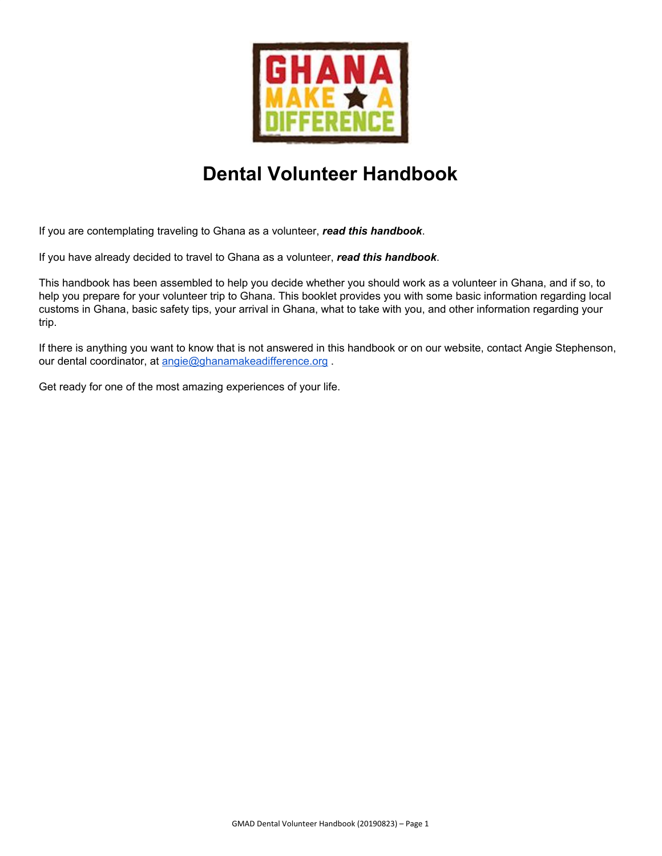

# **Dental Volunteer Handbook**

If you are contemplating traveling to Ghana as a volunteer, *read this handbook*.

If you have already decided to travel to Ghana as a volunteer, *read this handbook*.

This handbook has been assembled to help you decide whether you should work as a volunteer in Ghana, and if so, to help you prepare for your volunteer trip to Ghana. This booklet provides you with some basic information regarding local customs in Ghana, basic safety tips, your arrival in Ghana, what to take with you, and other information regarding your trip.

If there is anything you want to know that is not answered in this handbook or on our website, contact Angie Stephenson, our dental coordinator, at [angie@ghanamakeadifference.org](mailto:angie@ghanamakeadifference.org).

Get ready for one of the most amazing experiences of your life.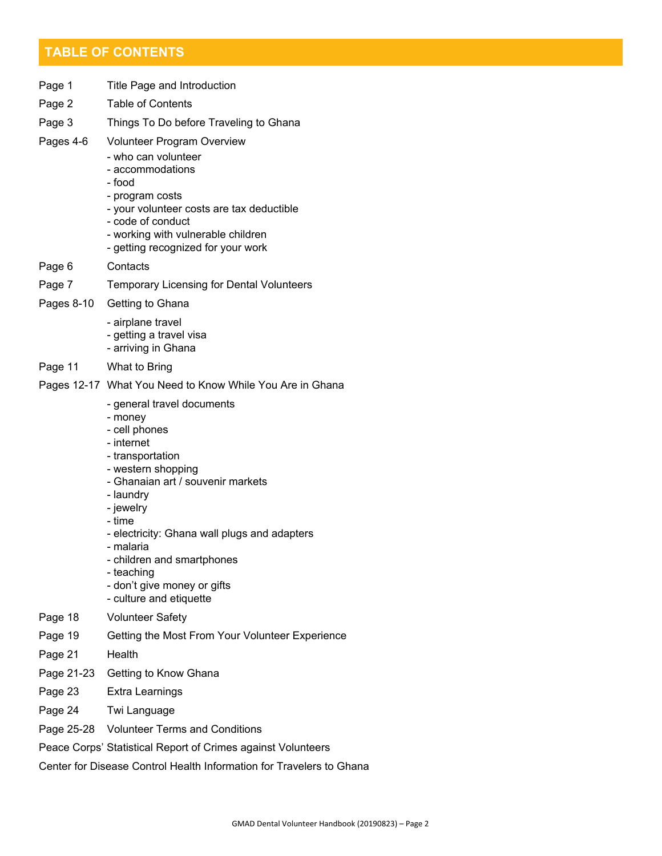# **TABLE OF CONTENTS**

| Page 1     | Title Page and Introduction                                                                                                                                                                                                                                                                                                                                |
|------------|------------------------------------------------------------------------------------------------------------------------------------------------------------------------------------------------------------------------------------------------------------------------------------------------------------------------------------------------------------|
| Page 2     | <b>Table of Contents</b>                                                                                                                                                                                                                                                                                                                                   |
| Page 3     | Things To Do before Traveling to Ghana                                                                                                                                                                                                                                                                                                                     |
| Pages 4-6  | <b>Volunteer Program Overview</b><br>- who can volunteer<br>- accommodations<br>- food<br>- program costs<br>- your volunteer costs are tax deductible<br>- code of conduct<br>- working with vulnerable children<br>- getting recognized for your work                                                                                                    |
| Page 6     | Contacts                                                                                                                                                                                                                                                                                                                                                   |
| Page 7     | <b>Temporary Licensing for Dental Volunteers</b>                                                                                                                                                                                                                                                                                                           |
| Pages 8-10 | Getting to Ghana                                                                                                                                                                                                                                                                                                                                           |
|            | - airplane travel<br>- getting a travel visa<br>- arriving in Ghana                                                                                                                                                                                                                                                                                        |
| Page 11    | What to Bring                                                                                                                                                                                                                                                                                                                                              |
|            | Pages 12-17 What You Need to Know While You Are in Ghana                                                                                                                                                                                                                                                                                                   |
|            | - general travel documents<br>- money<br>- cell phones<br>- internet<br>- transportation<br>- western shopping<br>- Ghanaian art / souvenir markets<br>- laundry<br>- jewelry<br>- time<br>- electricity: Ghana wall plugs and adapters<br>- malaria<br>- children and smartphones<br>- teaching<br>- don't give money or gifts<br>- culture and etiquette |
| Page 18    | <b>Volunteer Safety</b>                                                                                                                                                                                                                                                                                                                                    |
| Page 19    | Getting the Most From Your Volunteer Experience                                                                                                                                                                                                                                                                                                            |
| Page 21    | Health                                                                                                                                                                                                                                                                                                                                                     |
| Page 21-23 | Getting to Know Ghana                                                                                                                                                                                                                                                                                                                                      |
| Page 23    | Extra Learnings                                                                                                                                                                                                                                                                                                                                            |
| Page 24    | Twi Language                                                                                                                                                                                                                                                                                                                                               |

- Page 25-28 Volunteer Terms and Conditions
- Peace Corps' Statistical Report of Crimes against Volunteers

Center for Disease Control Health Information for Travelers to Ghana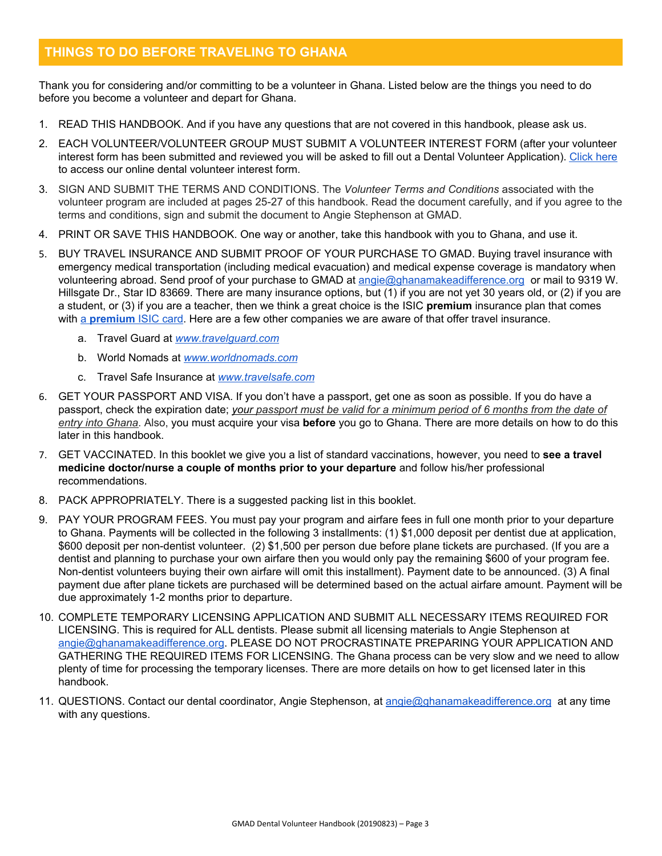# **THINGS TO DO BEFORE TRAVELING TO GHANA**

Thank you for considering and/or committing to be a volunteer in Ghana. Listed below are the things you need to do before you become a volunteer and depart for Ghana.

- 1. READ THIS HANDBOOK. And if you have any questions that are not covered in this handbook, please ask us.
- 2. EACH VOLUNTEER/VOLUNTEER GROUP MUST SUBMIT A VOLUNTEER INTEREST FORM (after your volunteer interest form has been submitted and reviewed you will be asked to fill out a Dental Volunteer Application). [Click](https://www.ghanamakeadifference.org/dentalinterest) here to access our online dental volunteer interest form.
- 3. SIGN AND SUBMIT THE TERMS AND CONDITIONS. The *Volunteer Terms and Conditions* associated with the volunteer program are included at pages 25-27 of this handbook. Read the document carefully, and if you agree to the terms and conditions, sign and submit the document to Angie Stephenson at GMAD.
- 4. PRINT OR SAVE THIS HANDBOOK. One way or another, take this handbook with you to Ghana, and use it.
- 5. BUY TRAVEL INSURANCE AND SUBMIT PROOF OF YOUR PURCHASE TO GMAD. Buying travel insurance with emergency medical transportation (including medical evacuation) and medical expense coverage is mandatory when volunteering abroad. Send proof of your purchase to GMAD at [angie@ghanamakeadifference.org](mailto:angie@ghanamakeadifference.org) or mail to 9319 W. Hillsgate Dr., Star ID 83669. There are many insurance options, but (1) if you are not yet 30 years old, or (2) if you are a student, or (3) if you are a teacher, then we think a great choice is the ISIC **premium** insurance plan that comes with [a](http://www.myisic.com/get-a-new-card/) **[premium](http://www.myisic.com/get-a-new-card/)** ISIC [card.](http://www.myisic.com/get-a-new-card/) Here are a few other companies we are aware of that offer travel insurance.
	- a. Travel Guard at *[www.travelguard.com](http://www.travelguard.com/)*
	- b. World Nomads at *[www.worldnomads.com](http://www.worldnomads.com/)*
	- c. Travel Safe Insurance at *[www.travelsafe.com](http://www.travelsafe.com/)*
- 6. GET YOUR PASSPORT AND VISA. If you don't have a passport, get one as soon as possible. If you do have a passport, check the expiration date; your passport must be valid for a minimum period of 6 months from the date of *entry into Ghana*. Also, you must acquire your visa **before** you go to Ghana. There are more details on how to do this later in this handbook.
- 7. GET VACCINATED. In this booklet we give you a list of standard vaccinations, however, you need to **see a travel medicine doctor/nurse a couple of months prior to your departure** and follow his/her professional recommendations.
- 8. PACK APPROPRIATELY. There is a suggested packing list in this booklet.
- 9. PAY YOUR PROGRAM FEES. You must pay your program and airfare fees in full one month prior to your departure to Ghana. Payments will be collected in the following 3 installments: (1) \$1,000 deposit per dentist due at application, \$600 deposit per non-dentist volunteer. (2) \$1,500 per person due before plane tickets are purchased. (If you are a dentist and planning to purchase your own airfare then you would only pay the remaining \$600 of your program fee. Non-dentist volunteers buying their own airfare will omit this installment). Payment date to be announced. (3) A final payment due after plane tickets are purchased will be determined based on the actual airfare amount. Payment will be due approximately 1-2 months prior to departure.
- 10. COMPLETE TEMPORARY LICENSING APPLICATION AND SUBMIT ALL NECESSARY ITEMS REQUIRED FOR LICENSING. This is required for ALL dentists. Please submit all licensing materials to Angie Stephenson at [angie@ghanamakeadifference.org.](mailto:angie@ghanamakeadifference.org) PLEASE DO NOT PROCRASTINATE PREPARING YOUR APPLICATION AND GATHERING THE REQUIRED ITEMS FOR LICENSING. The Ghana process can be very slow and we need to allow plenty of time for processing the temporary licenses. There are more details on how to get licensed later in this handbook.
- 11. QUESTIONS. Contact our dental coordinator, Angie Stephenson, at [angie@ghanamakeadifference.org](mailto:angie@ghanamakeadifference.org) at any time with any questions.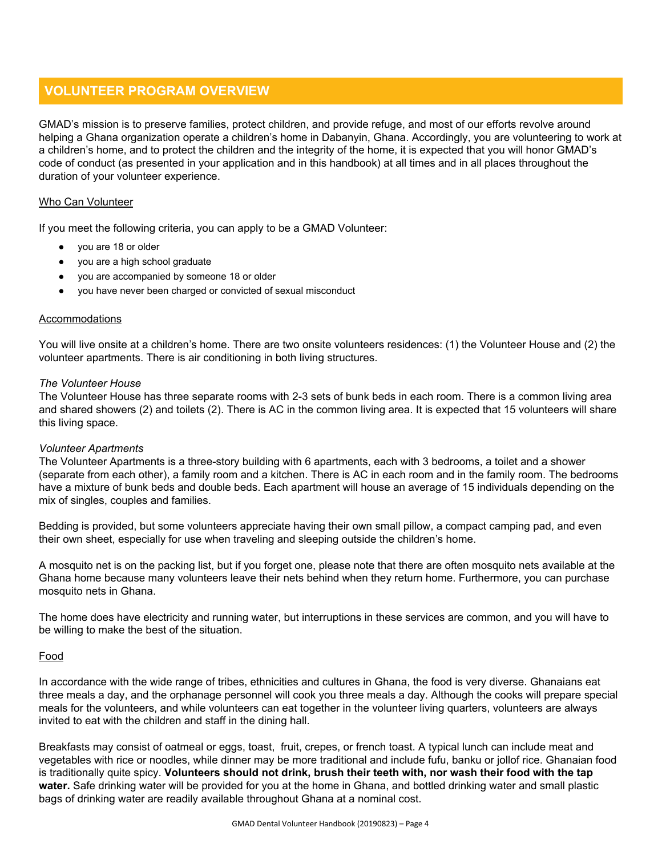# **VOLUNTEER PROGRAM OVERVIEW**

GMAD's mission is to preserve families, protect children, and provide refuge, and most of our efforts revolve around helping a Ghana organization operate a children's home in Dabanyin, Ghana. Accordingly, you are volunteering to work at a children's home, and to protect the children and the integrity of the home, it is expected that you will honor GMAD's code of conduct (as presented in your application and in this handbook) at all times and in all places throughout the duration of your volunteer experience.

#### Who Can Volunteer

If you meet the following criteria, you can apply to be a GMAD Volunteer:

- you are 18 or older
- you are a high school graduate
- you are accompanied by someone 18 or older
- you have never been charged or convicted of sexual misconduct

#### Accommodations

You will live onsite at a children's home. There are two onsite volunteers residences: (1) the Volunteer House and (2) the volunteer apartments. There is air conditioning in both living structures.

#### *The Volunteer House*

The Volunteer House has three separate rooms with 2-3 sets of bunk beds in each room. There is a common living area and shared showers (2) and toilets (2). There is AC in the common living area. It is expected that 15 volunteers will share this living space.

#### *Volunteer Apartments*

The Volunteer Apartments is a three-story building with 6 apartments, each with 3 bedrooms, a toilet and a shower (separate from each other), a family room and a kitchen. There is AC in each room and in the family room. The bedrooms have a mixture of bunk beds and double beds. Each apartment will house an average of 15 individuals depending on the mix of singles, couples and families.

Bedding is provided, but some volunteers appreciate having their own small pillow, a compact camping pad, and even their own sheet, especially for use when traveling and sleeping outside the children's home.

A mosquito net is on the packing list, but if you forget one, please note that there are often mosquito nets available at the Ghana home because many volunteers leave their nets behind when they return home. Furthermore, you can purchase mosquito nets in Ghana.

The home does have electricity and running water, but interruptions in these services are common, and you will have to be willing to make the best of the situation.

#### Food

In accordance with the wide range of tribes, ethnicities and cultures in Ghana, the food is very diverse. Ghanaians eat three meals a day, and the orphanage personnel will cook you three meals a day. Although the cooks will prepare special meals for the volunteers, and while volunteers can eat together in the volunteer living quarters, volunteers are always invited to eat with the children and staff in the dining hall.

Breakfasts may consist of oatmeal or eggs, toast, fruit, crepes, or french toast. A typical lunch can include meat and vegetables with rice or noodles, while dinner may be more traditional and include fufu, banku or jollof rice. Ghanaian food is traditionally quite spicy. **Volunteers should not drink, brush their teeth with, nor wash their food with the tap water.** Safe drinking water will be provided for you at the home in Ghana, and bottled drinking water and small plastic bags of drinking water are readily available throughout Ghana at a nominal cost.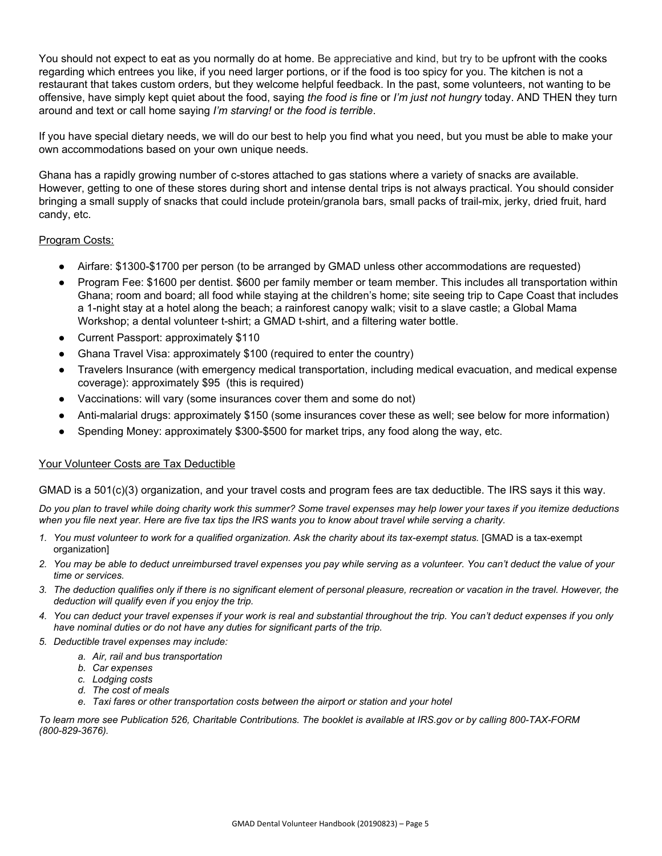You should not expect to eat as you normally do at home. Be appreciative and kind, but try to be upfront with the cooks regarding which entrees you like, if you need larger portions, or if the food is too spicy for you. The kitchen is not a restaurant that takes custom orders, but they welcome helpful feedback. In the past, some volunteers, not wanting to be offensive, have simply kept quiet about the food, saying *the food is fine* or *I'm just not hungry* today. AND THEN they turn around and text or call home saying *I'm starving!* or *the food is terrible*.

If you have special dietary needs, we will do our best to help you find what you need, but you must be able to make your own accommodations based on your own unique needs.

Ghana has a rapidly growing number of c-stores attached to gas stations where a variety of snacks are available. However, getting to one of these stores during short and intense dental trips is not always practical. You should consider bringing a small supply of snacks that could include protein/granola bars, small packs of trail-mix, jerky, dried fruit, hard candy, etc.

### Program Costs:

- Airfare: \$1300-\$1700 per person (to be arranged by GMAD unless other accommodations are requested)
- Program Fee: \$1600 per dentist. \$600 per family member or team member. This includes all transportation within Ghana; room and board; all food while staying at the children's home; site seeing trip to Cape Coast that includes a 1-night stay at a hotel along the beach; a rainforest canopy walk; visit to a slave castle; a Global Mama Workshop; a dental volunteer t-shirt; a GMAD t-shirt, and a filtering water bottle.
- Current Passport: approximately \$110
- Ghana Travel Visa: approximately \$100 (required to enter the country)
- Travelers Insurance (with emergency medical transportation, including medical evacuation, and medical expense coverage): approximately \$95 (this is required)
- Vaccinations: will vary (some insurances cover them and some do not)
- Anti-malarial drugs: approximately \$150 (some insurances cover these as well; see below for more information)
- Spending Money: approximately \$300-\$500 for market trips, any food along the way, etc.

#### Your Volunteer Costs are Tax Deductible

GMAD is a 501(c)(3) organization, and your travel costs and program fees are tax deductible. The IRS says it this way.

*Do you plan to travel while doing charity work this summer? Some travel expenses may help lower your taxes if you itemize deductions when you file next year. Here are five tax tips the IRS wants you to know about travel while serving a charity.*

- *1. You must volunteer to work for a qualified organization. Ask the charity about its tax-exempt status.* [GMAD is a tax-exempt organization]
- *2. You may be able to deduct unreimbursed travel expenses you pay while serving as a volunteer. You can't deduct the value of your time or services.*
- *3. The deduction qualifies only if there is no significant element of personal pleasure, recreation or vacation in the travel. However, the deduction will qualify even if you enjoy the trip.*
- *4. You can deduct your travel expenses if your work is real and substantial throughout the trip. You can't deduct expenses if you only have nominal duties or do not have any duties for significant parts of the trip.*
- *5. Deductible travel expenses may include:*
	- *a. Air, rail and bus transportation*
		- *b. Car expenses*
		- *c. Lodging costs*
		- *d. The cost of meals*
		- *e. Taxi fares or other transportation costs between the airport or station and your hotel*

*To learn more see Publication 526, Charitable Contributions. The booklet is available at IRS.gov or by calling 800-TAX-FORM (800-829-3676).*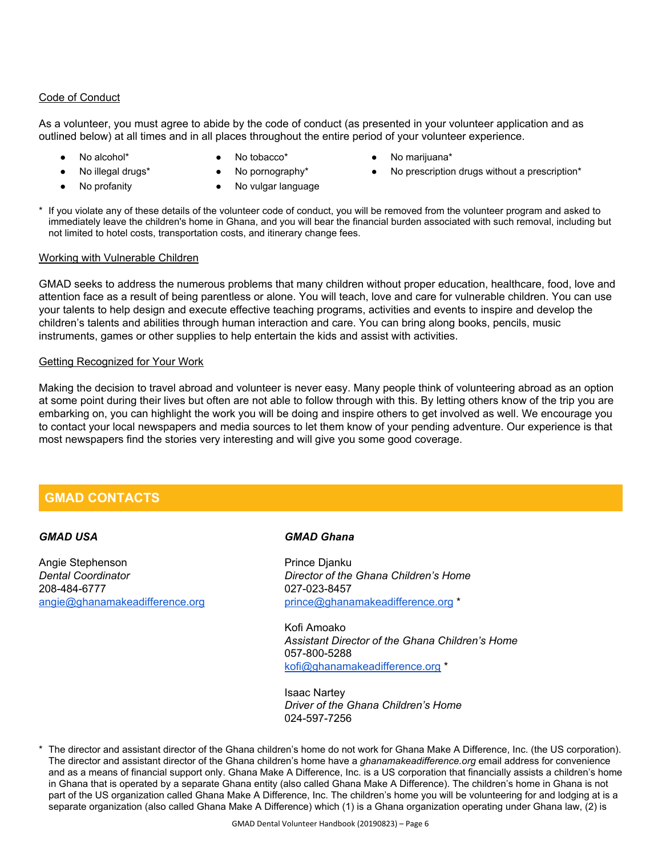#### Code of Conduct

As a volunteer, you must agree to abide by the code of conduct (as presented in your volunteer application and as outlined below) at all times and in all places throughout the entire period of your volunteer experience.

- 
- 
- 
- No alcohol\* **•** No tobacco\* **•** No marijuana\*
	-
- No profanity No vulgar language
- 
- No illegal drugs\* No pornography\* No prescription drugs without a prescription\*
- If you violate any of these details of the volunteer code of conduct, you will be removed from the volunteer program and asked to immediately leave the children's home in Ghana, and you will bear the financial burden associated with such removal, including but not limited to hotel costs, transportation costs, and itinerary change fees.

#### Working with Vulnerable Children

GMAD seeks to address the numerous problems that many children without proper education, healthcare, food, love and attention face as a result of being parentless or alone. You will teach, love and care for vulnerable children. You can use your talents to help design and execute effective teaching programs, activities and events to inspire and develop the children's talents and abilities through human interaction and care. You can bring along books, pencils, music instruments, games or other supplies to help entertain the kids and assist with activities.

#### Getting Recognized for Your Work

Making the decision to travel abroad and volunteer is never easy. Many people think of volunteering abroad as an option at some point during their lives but often are not able to follow through with this. By letting others know of the trip you are embarking on, you can highlight the work you will be doing and inspire others to get involved as well. We encourage you to contact your local newspapers and media sources to let them know of your pending adventure. Our experience is that most newspapers find the stories very interesting and will give you some good coverage.

# **GMAD CONTACTS**

#### *GMAD USA*

Angie Stephenson *Dental Coordinator* 208-484-6777 [angie@ghanamakeadifference.org](mailto:angie@ghanamakeadifference.org)

#### *GMAD Ghana*

Prince Djanku *Director of the Ghana Children's Home* 027-023-8457 [prince@ghanamakeadifference.org](mailto:prince@ghanamakeadifference.org) \*

Kofi Amoako *Assistant Director of the Ghana Children's Home* 057-800-5288 [kofi@ghanamakeadifference.org](mailto:kofi@ghanamakeadifference.org) \*

Isaac Nartey *Driver of the Ghana Children's Home* 024-597-7256

The director and assistant director of the Ghana children's home do not work for Ghana Make A Difference, Inc. (the US corporation). The director and assistant director of the Ghana children's home have a *ghanamakeadifference.org* email address for convenience and as a means of financial support only. Ghana Make A Difference, Inc. is a US corporation that financially assists a children's home in Ghana that is operated by a separate Ghana entity (also called Ghana Make A Difference). The children's home in Ghana is not part of the US organization called Ghana Make A Difference, Inc. The children's home you will be volunteering for and lodging at is a separate organization (also called Ghana Make A Difference) which (1) is a Ghana organization operating under Ghana law, (2) is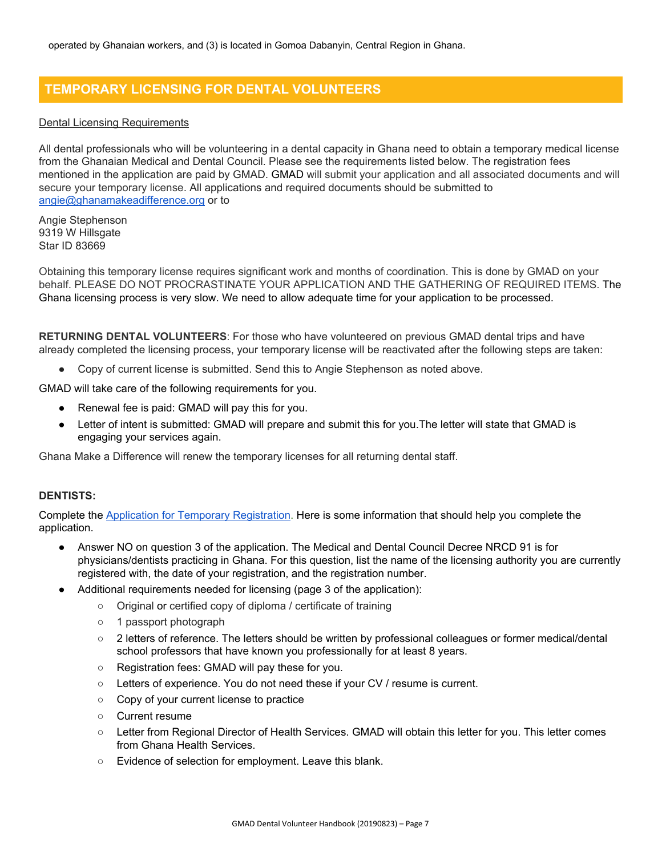# **TEMPORARY LICENSING FOR DENTAL VOLUNTEERS**

#### Dental Licensing Requirements

All dental professionals who will be volunteering in a dental capacity in Ghana need to obtain a temporary medical license from the Ghanaian Medical and Dental Council. Please see the requirements listed below. The registration fees mentioned in the application are paid by GMAD. GMAD will submit your application and all associated documents and will secure your temporary license. All applications and required documents should be submitted to [angie@ghanamakeadifference.org](mailto:angie@ghanamakeadifference.org) or to

Angie Stephenson 9319 W Hillsgate Star ID 83669

Obtaining this temporary license requires significant work and months of coordination. This is done by GMAD on your behalf. PLEASE DO NOT PROCRASTINATE YOUR APPLICATION AND THE GATHERING OF REQUIRED ITEMS. The Ghana licensing process is very slow. We need to allow adequate time for your application to be processed.

**RETURNING DENTAL VOLUNTEERS**: For those who have volunteered on previous GMAD dental trips and have already completed the licensing process, your temporary license will be reactivated after the following steps are taken:

● Copy of current license is submitted. Send this to Angie Stephenson as noted above.

GMAD will take care of the following requirements for you.

- Renewal fee is paid: GMAD will pay this for you.
- Letter of intent is submitted: GMAD will prepare and submit this for you. The letter will state that GMAD is engaging your services again.

Ghana Make a Difference will renew the temporary licenses for all returning dental staff.

### **DENTISTS:**

Complete the Application for Temporary [Registration](https://drive.google.com/open?id=1prmStn1dWaXRS4WlZTuqWLkZA9kU6OHo). Here is some information that should help you complete the application.

- Answer NO on question 3 of the application. The Medical and Dental Council Decree NRCD 91 is for physicians/dentists practicing in Ghana. For this question, list the name of the licensing authority you are currently registered with, the date of your registration, and the registration number.
- Additional requirements needed for licensing (page 3 of the application):
	- Original or certified copy of diploma / certificate of training
	- 1 passport photograph
	- 2 letters of reference. The letters should be written by professional colleagues or former medical/dental school professors that have known you professionally for at least 8 years.
	- Registration fees: GMAD will pay these for you.
	- Letters of experience. You do not need these if your CV / resume is current.
	- Copy of your current license to practice
	- Current resume
	- Letter from Regional Director of Health Services. GMAD will obtain this letter for you. This letter comes from Ghana Health Services.
	- Evidence of selection for employment. Leave this blank.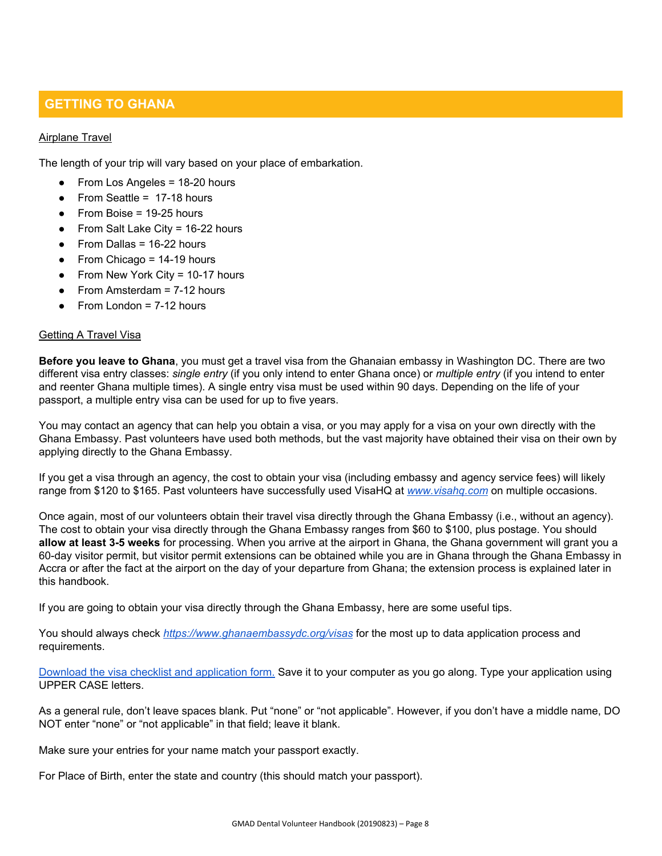# **GETTING TO GHANA**

#### Airplane Travel

The length of your trip will vary based on your place of embarkation.

- From Los Angeles = 18-20 hours
- From Seattle = 17-18 hours
- From Boise =  $19-25$  hours
- From Salt Lake City =  $16-22$  hours
- From Dallas =  $16-22$  hours
- From Chicago =  $14-19$  hours
- From New York City =  $10-17$  hours
- From Amsterdam  $= 7-12$  hours
- From London  $= 7-12$  hours

#### Getting A Travel Visa

**Before you leave to Ghana**, you must get a travel visa from the Ghanaian embassy in Washington DC. There are two different visa entry classes: *single entry* (if you only intend to enter Ghana once) or *multiple entry* (if you intend to enter and reenter Ghana multiple times). A single entry visa must be used within 90 days. Depending on the life of your passport, a multiple entry visa can be used for up to five years.

You may contact an agency that can help you obtain a visa, or you may apply for a visa on your own directly with the Ghana Embassy. Past volunteers have used both methods, but the vast majority have obtained their visa on their own by applying directly to the Ghana Embassy.

If you get a visa through an agency, the cost to obtain your visa (including embassy and agency service fees) will likely range from \$120 to \$165. Past volunteers have successfully used VisaHQ at *[www.visahq.com](http://www.visahq.com/)* on multiple occasions.

Once again, most of our volunteers obtain their travel visa directly through the Ghana Embassy (i.e., without an agency). The cost to obtain your visa directly through the Ghana Embassy ranges from \$60 to \$100, plus postage. You should **allow at least 3-5 weeks** for processing. When you arrive at the airport in Ghana, the Ghana government will grant you a 60-day visitor permit, but visitor permit extensions can be obtained while you are in Ghana through the Ghana Embassy in Accra or after the fact at the airport on the day of your departure from Ghana; the extension process is explained later in this handbook.

If you are going to obtain your visa directly through the Ghana Embassy, here are some useful tips.

You should always check *<https://www.ghanaembassydc.org/visas>* for the most up to data application process and requirements.

Download the visa checklist and [application](https://docs.wixstatic.com/ugd/e5b4cd_f005ac77546a4351802627f709074dee.pdf) form. Save it to your computer as you go along. Type your application using UPPER CASE letters.

As a general rule, don't leave spaces blank. Put "none" or "not applicable". However, if you don't have a middle name, DO NOT enter "none" or "not applicable" in that field; leave it blank.

Make sure your entries for your name match your passport exactly.

For Place of Birth, enter the state and country (this should match your passport).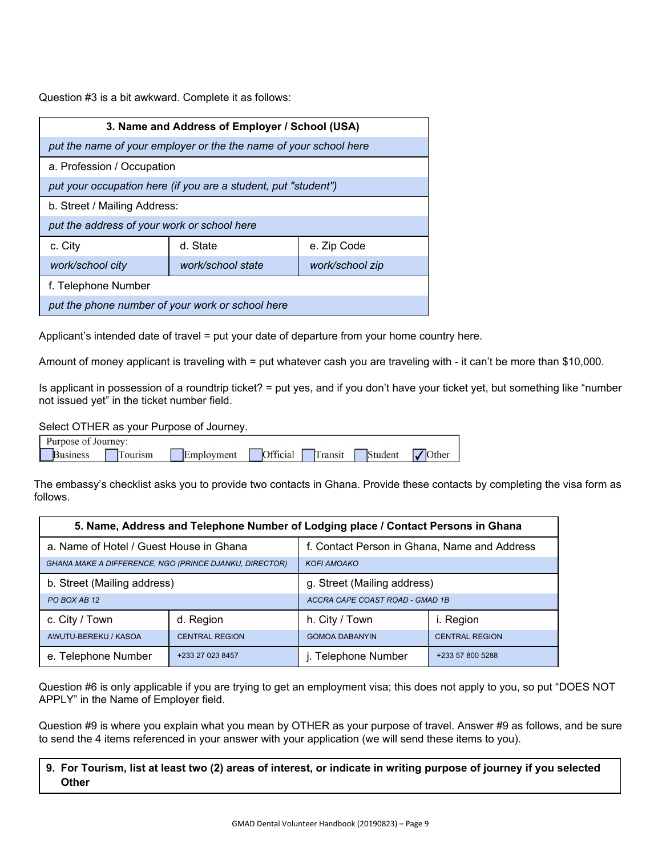Question #3 is a bit awkward. Complete it as follows:

| 3. Name and Address of Employer / School (USA)                    |                   |                 |  |  |
|-------------------------------------------------------------------|-------------------|-----------------|--|--|
| put the name of your employer or the the name of your school here |                   |                 |  |  |
| a. Profession / Occupation                                        |                   |                 |  |  |
| put your occupation here (if you are a student, put "student")    |                   |                 |  |  |
| b. Street / Mailing Address:                                      |                   |                 |  |  |
| put the address of your work or school here                       |                   |                 |  |  |
| c. City                                                           | d. State          | e. Zip Code     |  |  |
| work/school city                                                  | work/school state | work/school zip |  |  |
| f. Telephone Number                                               |                   |                 |  |  |
| put the phone number of your work or school here                  |                   |                 |  |  |

Applicant's intended date of travel = put your date of departure from your home country here.

Amount of money applicant is traveling with = put whatever cash you are traveling with - it can't be more than \$10,000.

Is applicant in possession of a roundtrip ticket? = put yes, and if you don't have your ticket yet, but something like "number not issued yet" in the ticket number field.

Select OTHER as your Purpose of Journey.

| Purpose of Journey: |        |            |          |         |         |            |
|---------------------|--------|------------|----------|---------|---------|------------|
| <b>Business</b>     | ourism | Employment | Official | Transit | Student | Other<br>M |

The embassy's checklist asks you to provide two contacts in Ghana. Provide these contacts by completing the visa form as follows.

| 5. Name, Address and Telephone Number of Lodging place / Contact Persons in Ghana |                       |                                                |                  |  |  |  |
|-----------------------------------------------------------------------------------|-----------------------|------------------------------------------------|------------------|--|--|--|
| a. Name of Hotel / Guest House in Ghana                                           |                       | f. Contact Person in Ghana, Name and Address   |                  |  |  |  |
| <b>GHANA MAKE A DIFFERENCE, NGO (PRINCE DJANKU, DIRECTOR)</b>                     |                       | <b>KOFI AMOAKO</b>                             |                  |  |  |  |
| b. Street (Mailing address)                                                       |                       | g. Street (Mailing address)                    |                  |  |  |  |
| PO BOX AB 12                                                                      |                       | ACCRA CAPE COAST ROAD - GMAD 1B                |                  |  |  |  |
| c. City / Town                                                                    | d. Region             | h. City / Town                                 | i. Region        |  |  |  |
| AWUTU-BEREKU / KASOA                                                              | <b>CENTRAL REGION</b> | <b>GOMOA DABANYIN</b><br><b>CENTRAL REGION</b> |                  |  |  |  |
| e. Telephone Number                                                               | +233 27 023 8457      | j. Telephone Number                            | +233 57 800 5288 |  |  |  |

Question #6 is only applicable if you are trying to get an employment visa; this does not apply to you, so put "DOES NOT APPLY" in the Name of Employer field.

Question #9 is where you explain what you mean by OTHER as your purpose of travel. Answer #9 as follows, and be sure to send the 4 items referenced in your answer with your application (we will send these items to you).

### 9. For Tourism, list at least two (2) areas of interest, or indicate in writing purpose of journey if you selected **Other**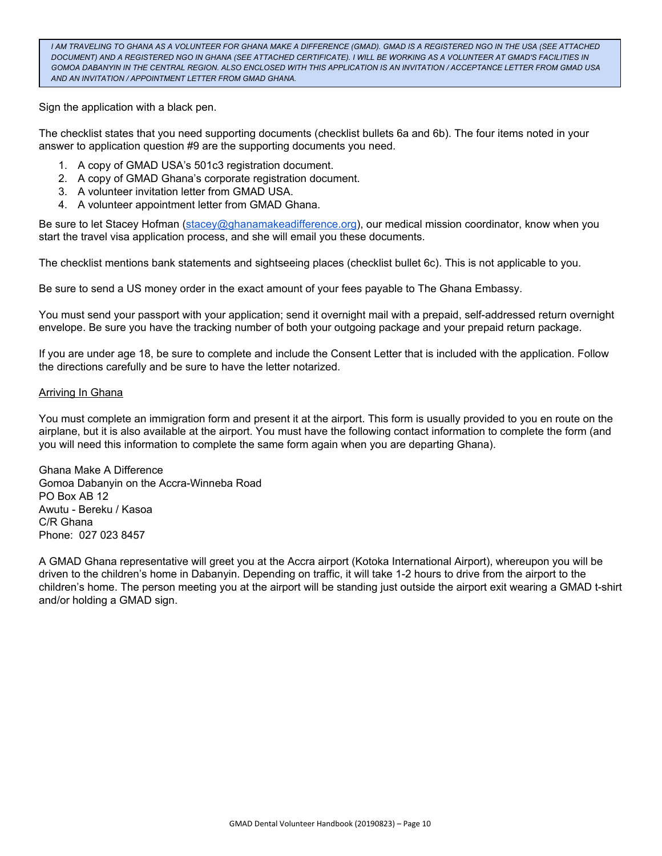I AM TRAVELING TO GHANA AS A VOLUNTEER FOR GHANA MAKE A DIFFERENCE (GMAD). GMAD IS A REGISTERED NGO IN THE USA (SEE ATTACHED DOCUMENT) AND A REGISTERED NGO IN GHANA (SEE ATTACHED CERTIFICATE). I WILL BE WORKING AS A VOLUNTEER AT GMAD'S FACILITIES IN GOMOA DABANYIN IN THE CENTRAL REGION. ALSO ENCLOSED WITH THIS APPLICATION IS AN INVITATION / ACCEPTANCE LETTER FROM GMAD USA *AND AN INVITATION / APPOINTMENT LETTER FROM GMAD GHANA.*

Sign the application with a black pen.

The checklist states that you need supporting documents (checklist bullets 6a and 6b). The four items noted in your answer to application question #9 are the supporting documents you need.

- 1. A copy of GMAD USA's 501c3 registration document.
- 2. A copy of GMAD Ghana's corporate registration document.
- 3. A volunteer invitation letter from GMAD USA.
- 4. A volunteer appointment letter from GMAD Ghana.

Be sure to let Stacey Hofman [\(stacey@ghanamakeadifference.org](mailto:stacey@ghanamakeadifference.org)), our medical mission coordinator, know when you start the travel visa application process, and she will email you these documents.

The checklist mentions bank statements and sightseeing places (checklist bullet 6c). This is not applicable to you.

Be sure to send a US money order in the exact amount of your fees payable to The Ghana Embassy.

You must send your passport with your application; send it overnight mail with a prepaid, self-addressed return overnight envelope. Be sure you have the tracking number of both your outgoing package and your prepaid return package.

If you are under age 18, be sure to complete and include the Consent Letter that is included with the application. Follow the directions carefully and be sure to have the letter notarized.

#### **Arriving In Ghana**

You must complete an immigration form and present it at the airport. This form is usually provided to you en route on the airplane, but it is also available at the airport. You must have the following contact information to complete the form (and you will need this information to complete the same form again when you are departing Ghana).

Ghana Make A Difference Gomoa Dabanyin on the Accra-Winneba Road PO Box AB 12 Awutu - Bereku / Kasoa C/R Ghana Phone: 027 023 8457

A GMAD Ghana representative will greet you at the Accra airport (Kotoka International Airport), whereupon you will be driven to the children's home in Dabanyin. Depending on traffic, it will take 1-2 hours to drive from the airport to the children's home. The person meeting you at the airport will be standing just outside the airport exit wearing a GMAD t-shirt and/or holding a GMAD sign.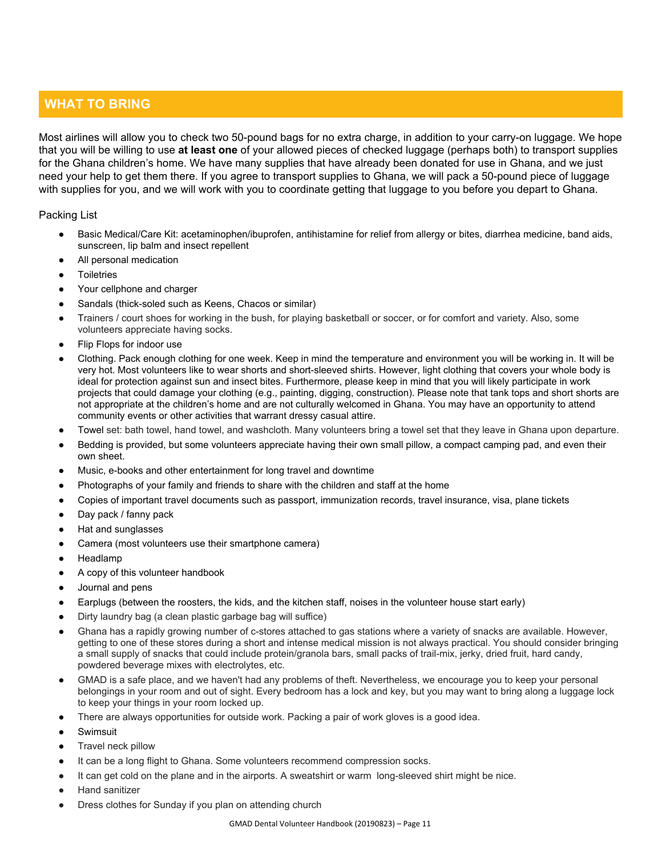# **WHAT TO BRING**

Most airlines will allow you to check two 50-pound bags for no extra charge, in addition to your carry-on luggage. We hope that you will be willing to use **at least one** of your allowed pieces of checked luggage (perhaps both) to transport supplies for the Ghana children's home. We have many supplies that have already been donated for use in Ghana, and we just need your help to get them there. If you agree to transport supplies to Ghana, we will pack a 50-pound piece of luggage with supplies for you, and we will work with you to coordinate getting that luggage to you before you depart to Ghana.

Packing List

- Basic Medical/Care Kit: acetaminophen/ibuprofen, antihistamine for relief from allergy or bites, diarrhea medicine, band aids, sunscreen, lip balm and insect repellent
- All personal medication
- **Toiletries**
- Your cellphone and charger
- Sandals (thick-soled such as Keens, Chacos or similar)
- Trainers / court shoes for working in the bush, for playing basketball or soccer, or for comfort and variety. Also, some volunteers appreciate having socks.
- Flip Flops for indoor use
- Clothing. Pack enough clothing for one week. Keep in mind the temperature and environment you will be working in. It will be very hot. Most volunteers like to wear shorts and short-sleeved shirts. However, light clothing that covers your whole body is ideal for protection against sun and insect bites. Furthermore, please keep in mind that you will likely participate in work projects that could damage your clothing (e.g., painting, digging, construction). Please note that tank tops and short shorts are not appropriate at the children's home and are not culturally welcomed in Ghana. You may have an opportunity to attend community events or other activities that warrant dressy casual attire.
- Towel set: bath towel, hand towel, and washcloth. Many volunteers bring a towel set that they leave in Ghana upon departure.
- Bedding is provided, but some volunteers appreciate having their own small pillow, a compact camping pad, and even their own sheet.
- Music, e-books and other entertainment for long travel and downtime
- Photographs of your family and friends to share with the children and staff at the home
- Copies of important travel documents such as passport, immunization records, travel insurance, visa, plane tickets
- Day pack / fanny pack
- Hat and sunglasses
- Camera (most volunteers use their smartphone camera)
- **Headlamp**
- A copy of this volunteer handbook
- Journal and pens
- Earplugs (between the roosters, the kids, and the kitchen staff, noises in the volunteer house start early)
- Dirty laundry bag (a clean plastic garbage bag will suffice)
- Ghana has a rapidly growing number of c-stores attached to gas stations where a variety of snacks are available. However, getting to one of these stores during a short and intense medical mission is not always practical. You should consider bringing a small supply of snacks that could include protein/granola bars, small packs of trail-mix, jerky, dried fruit, hard candy, powdered beverage mixes with electrolytes, etc.
- GMAD is a safe place, and we haven't had any problems of theft. Nevertheless, we encourage you to keep your personal belongings in your room and out of sight. Every bedroom has a lock and key, but you may want to bring along a luggage lock to keep your things in your room locked up.
- There are always opportunities for outside work. Packing a pair of work gloves is a good idea.
- **Swimsuit**
- Travel neck pillow
- It can be a long flight to Ghana. Some volunteers recommend compression socks.
- It can get cold on the plane and in the airports. A sweatshirt or warm long-sleeved shirt might be nice.
- **Hand sanitizer**
- Dress clothes for Sunday if you plan on attending church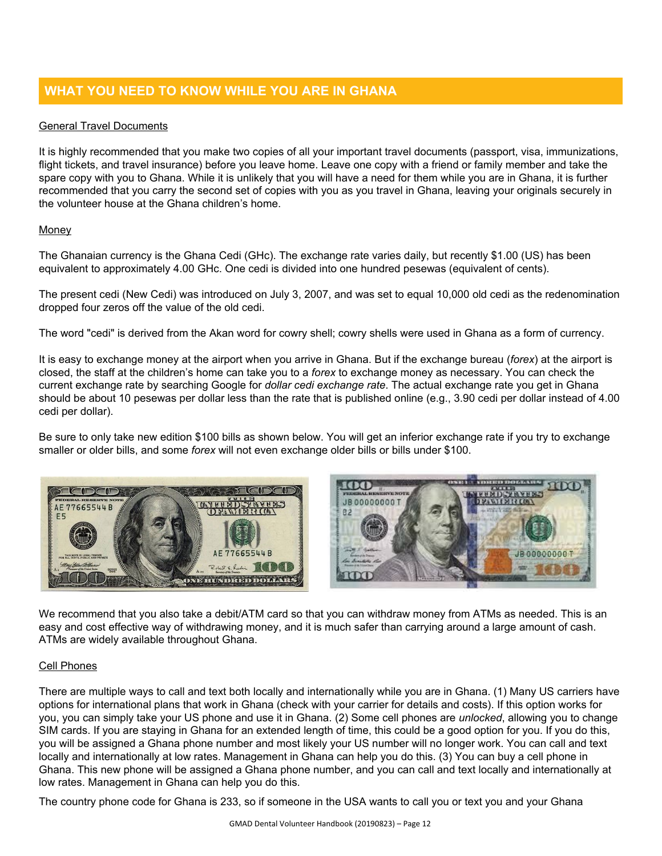# **WHAT YOU NEED TO KNOW WHILE YOU ARE IN GHANA**

### General Travel Documents

It is highly recommended that you make two copies of all your important travel documents (passport, visa, immunizations, flight tickets, and travel insurance) before you leave home. Leave one copy with a friend or family member and take the spare copy with you to Ghana. While it is unlikely that you will have a need for them while you are in Ghana, it is further recommended that you carry the second set of copies with you as you travel in Ghana, leaving your originals securely in the volunteer house at the Ghana children's home.

### Money

The Ghanaian currency is the Ghana Cedi (GHc). The exchange rate varies daily, but recently \$1.00 (US) has been equivalent to approximately 4.00 GHc. One cedi is divided into one hundred pesewas (equivalent of cents).

The present cedi (New Cedi) was introduced on July 3, 2007, and was set to equal 10,000 old cedi as the redenomination dropped four zeros off the value of the old cedi.

The word "cedi" is derived from the Akan word for cowry shell; cowry shells were used in Ghana as a form of currency.

It is easy to exchange money at the airport when you arrive in Ghana. But if the exchange bureau (*forex*) at the airport is closed, the staff at the children's home can take you to a *forex* to exchange money as necessary. You can check the current exchange rate by searching Google for *dollar cedi exchange rate*. The actual exchange rate you get in Ghana should be about 10 pesewas per dollar less than the rate that is published online (e.g., 3.90 cedi per dollar instead of 4.00 cedi per dollar).

Be sure to only take new edition \$100 bills as shown below. You will get an inferior exchange rate if you try to exchange smaller or older bills, and some *forex* will not even exchange older bills or bills under \$100.





We recommend that you also take a debit/ATM card so that you can withdraw money from ATMs as needed. This is an easy and cost effective way of withdrawing money, and it is much safer than carrying around a large amount of cash. ATMs are widely available throughout Ghana.

### Cell Phones

There are multiple ways to call and text both locally and internationally while you are in Ghana. (1) Many US carriers have options for international plans that work in Ghana (check with your carrier for details and costs). If this option works for you, you can simply take your US phone and use it in Ghana. (2) Some cell phones are *unlocked*, allowing you to change SIM cards. If you are staying in Ghana for an extended length of time, this could be a good option for you. If you do this, you will be assigned a Ghana phone number and most likely your US number will no longer work. You can call and text locally and internationally at low rates. Management in Ghana can help you do this. (3) You can buy a cell phone in Ghana. This new phone will be assigned a Ghana phone number, and you can call and text locally and internationally at low rates. Management in Ghana can help you do this.

The country phone code for Ghana is 233, so if someone in the USA wants to call you or text you and your Ghana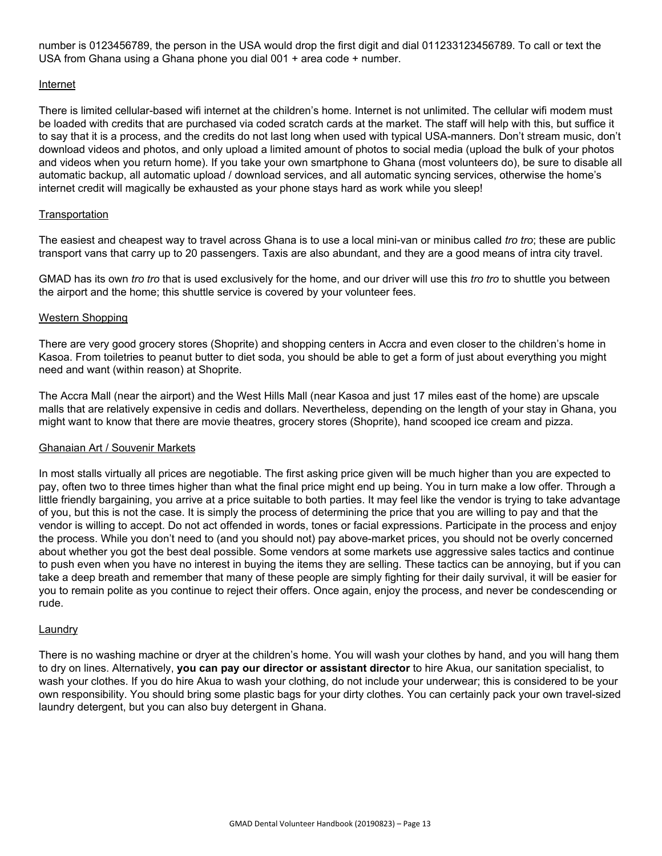number is 0123456789, the person in the USA would drop the first digit and dial 011233123456789. To call or text the USA from Ghana using a Ghana phone you dial 001 + area code + number.

#### Internet

There is limited cellular-based wifi internet at the children's home. Internet is not unlimited. The cellular wifi modem must be loaded with credits that are purchased via coded scratch cards at the market. The staff will help with this, but suffice it to say that it is a process, and the credits do not last long when used with typical USA-manners. Don't stream music, don't download videos and photos, and only upload a limited amount of photos to social media (upload the bulk of your photos and videos when you return home). If you take your own smartphone to Ghana (most volunteers do), be sure to disable all automatic backup, all automatic upload / download services, and all automatic syncing services, otherwise the home's internet credit will magically be exhausted as your phone stays hard as work while you sleep!

### **Transportation**

The easiest and cheapest way to travel across Ghana is to use a local mini-van or minibus called *tro tro*; these are public transport vans that carry up to 20 passengers. Taxis are also abundant, and they are a good means of intra city travel.

GMAD has its own *tro tro* that is used exclusively for the home, and our driver will use this *tro tro* to shuttle you between the airport and the home; this shuttle service is covered by your volunteer fees.

### Western Shopping

There are very good grocery stores (Shoprite) and shopping centers in Accra and even closer to the children's home in Kasoa. From toiletries to peanut butter to diet soda, you should be able to get a form of just about everything you might need and want (within reason) at Shoprite.

The Accra Mall (near the airport) and the West Hills Mall (near Kasoa and just 17 miles east of the home) are upscale malls that are relatively expensive in cedis and dollars. Nevertheless, depending on the length of your stay in Ghana, you might want to know that there are movie theatres, grocery stores (Shoprite), hand scooped ice cream and pizza.

#### Ghanaian Art / Souvenir Markets

In most stalls virtually all prices are negotiable. The first asking price given will be much higher than you are expected to pay, often two to three times higher than what the final price might end up being. You in turn make a low offer. Through a little friendly bargaining, you arrive at a price suitable to both parties. It may feel like the vendor is trying to take advantage of you, but this is not the case. It is simply the process of determining the price that you are willing to pay and that the vendor is willing to accept. Do not act offended in words, tones or facial expressions. Participate in the process and enjoy the process. While you don't need to (and you should not) pay above-market prices, you should not be overly concerned about whether you got the best deal possible. Some vendors at some markets use aggressive sales tactics and continue to push even when you have no interest in buying the items they are selling. These tactics can be annoying, but if you can take a deep breath and remember that many of these people are simply fighting for their daily survival, it will be easier for you to remain polite as you continue to reject their offers. Once again, enjoy the process, and never be condescending or rude.

#### Laundry

There is no washing machine or dryer at the children's home. You will wash your clothes by hand, and you will hang them to dry on lines. Alternatively, **you can pay our director or assistant director** to hire Akua, our sanitation specialist, to wash your clothes. If you do hire Akua to wash your clothing, do not include your underwear; this is considered to be your own responsibility. You should bring some plastic bags for your dirty clothes. You can certainly pack your own travel-sized laundry detergent, but you can also buy detergent in Ghana.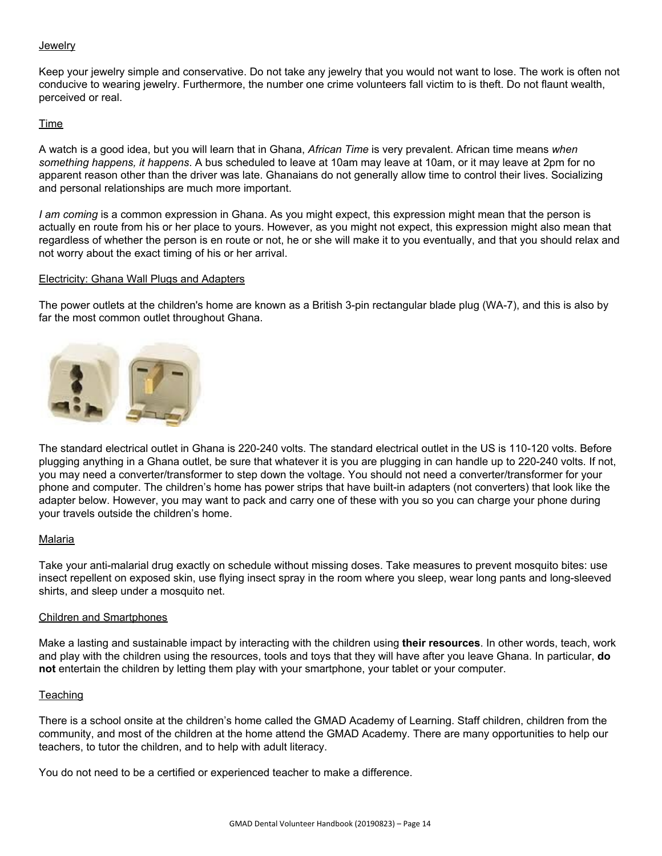#### **Jewelry**

Keep your jewelry simple and conservative. Do not take any jewelry that you would not want to lose. The work is often not conducive to wearing jewelry. Furthermore, the number one crime volunteers fall victim to is theft. Do not flaunt wealth, perceived or real.

#### Time

A watch is a good idea, but you will learn that in Ghana, *African Time* is very prevalent. African time means *when something happens, it happens*. A bus scheduled to leave at 10am may leave at 10am, or it may leave at 2pm for no apparent reason other than the driver was late. Ghanaians do not generally allow time to control their lives. Socializing and personal relationships are much more important.

*I am coming* is a common expression in Ghana. As you might expect, this expression might mean that the person is actually en route from his or her place to yours. However, as you might not expect, this expression might also mean that regardless of whether the person is en route or not, he or she will make it to you eventually, and that you should relax and not worry about the exact timing of his or her arrival.

#### Electricity: Ghana Wall Plugs and Adapters

The power outlets at the children's home are known as a British 3-pin rectangular blade plug (WA-7), and this is also by far the most common outlet throughout Ghana.



The standard electrical outlet in Ghana is 220-240 volts. The standard electrical outlet in the US is 110-120 volts. Before plugging anything in a Ghana outlet, be sure that whatever it is you are plugging in can handle up to 220-240 volts. If not, you may need a converter/transformer to step down the voltage. You should not need a converter/transformer for your phone and computer. The children's home has power strips that have built-in adapters (not converters) that look like the adapter below. However, you may want to pack and carry one of these with you so you can charge your phone during your travels outside the children's home.

#### Malaria

Take your anti-malarial drug exactly on schedule without missing doses. Take measures to prevent mosquito bites: use insect repellent on exposed skin, use flying insect spray in the room where you sleep, wear long pants and long-sleeved shirts, and sleep under a mosquito net.

#### Children and Smartphones

Make a lasting and sustainable impact by interacting with the children using **their resources**. In other words, teach, work and play with the children using the resources, tools and toys that they will have after you leave Ghana. In particular, **do not** entertain the children by letting them play with your smartphone, your tablet or your computer.

#### **Teaching**

There is a school onsite at the children's home called the GMAD Academy of Learning. Staff children, children from the community, and most of the children at the home attend the GMAD Academy. There are many opportunities to help our teachers, to tutor the children, and to help with adult literacy.

You do not need to be a certified or experienced teacher to make a difference.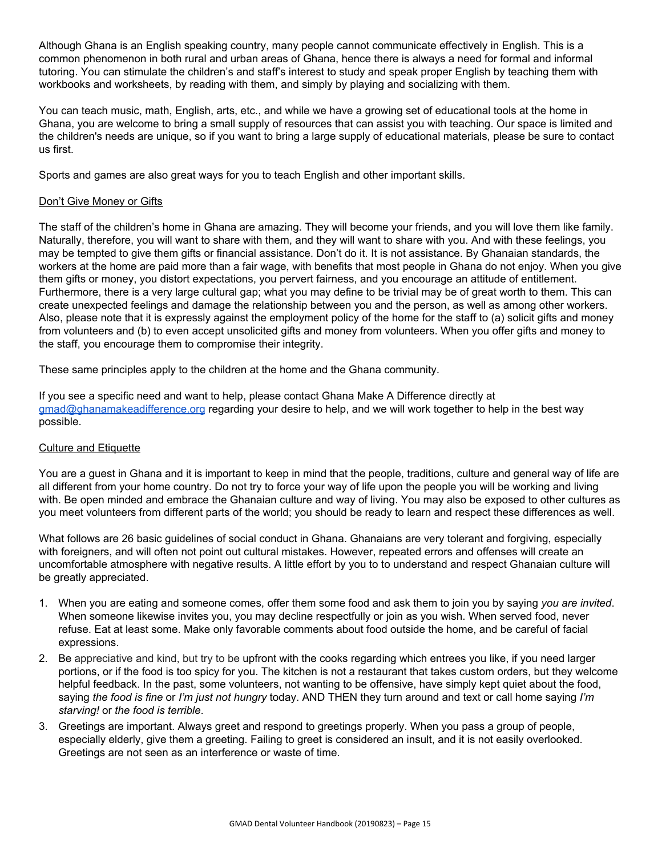Although Ghana is an English speaking country, many people cannot communicate effectively in English. This is a common phenomenon in both rural and urban areas of Ghana, hence there is always a need for formal and informal tutoring. You can stimulate the children's and staff's interest to study and speak proper English by teaching them with workbooks and worksheets, by reading with them, and simply by playing and socializing with them.

You can teach music, math, English, arts, etc., and while we have a growing set of educational tools at the home in Ghana, you are welcome to bring a small supply of resources that can assist you with teaching. Our space is limited and the children's needs are unique, so if you want to bring a large supply of educational materials, please be sure to contact us first.

Sports and games are also great ways for you to teach English and other important skills.

### Don't Give Money or Gifts

The staff of the children's home in Ghana are amazing. They will become your friends, and you will love them like family. Naturally, therefore, you will want to share with them, and they will want to share with you. And with these feelings, you may be tempted to give them gifts or financial assistance. Don't do it. It is not assistance. By Ghanaian standards, the workers at the home are paid more than a fair wage, with benefits that most people in Ghana do not enjoy. When you give them gifts or money, you distort expectations, you pervert fairness, and you encourage an attitude of entitlement. Furthermore, there is a very large cultural gap; what you may define to be trivial may be of great worth to them. This can create unexpected feelings and damage the relationship between you and the person, as well as among other workers. Also, please note that it is expressly against the employment policy of the home for the staff to (a) solicit gifts and money from volunteers and (b) to even accept unsolicited gifts and money from volunteers. When you offer gifts and money to the staff, you encourage them to compromise their integrity.

These same principles apply to the children at the home and the Ghana community.

If you see a specific need and want to help, please contact Ghana Make A Difference directly at [gmad@ghanamakeadifference.org](mailto:gmad@ghanamakeadifference.org) regarding your desire to help, and we will work together to help in the best way possible.

#### Culture and Etiquette

You are a guest in Ghana and it is important to keep in mind that the people, traditions, culture and general way of life are all different from your home country. Do not try to force your way of life upon the people you will be working and living with. Be open minded and embrace the Ghanaian culture and way of living. You may also be exposed to other cultures as you meet volunteers from different parts of the world; you should be ready to learn and respect these differences as well.

What follows are 26 basic guidelines of social conduct in Ghana. Ghanaians are very tolerant and forgiving, especially with foreigners, and will often not point out cultural mistakes. However, repeated errors and offenses will create an uncomfortable atmosphere with negative results. A little effort by you to to understand and respect Ghanaian culture will be greatly appreciated.

- 1. When you are eating and someone comes, offer them some food and ask them to join you by saying *you are invited*. When someone likewise invites you, you may decline respectfully or join as you wish. When served food, never refuse. Eat at least some. Make only favorable comments about food outside the home, and be careful of facial expressions.
- 2. Be appreciative and kind, but try to be upfront with the cooks regarding which entrees you like, if you need larger portions, or if the food is too spicy for you. The kitchen is not a restaurant that takes custom orders, but they welcome helpful feedback. In the past, some volunteers, not wanting to be offensive, have simply kept quiet about the food, saying *the food is fine* or *I'm just not hungry* today. AND THEN they turn around and text or call home saying *I'm starving!* or *the food is terrible*.
- 3. Greetings are important. Always greet and respond to greetings properly. When you pass a group of people, especially elderly, give them a greeting. Failing to greet is considered an insult, and it is not easily overlooked. Greetings are not seen as an interference or waste of time.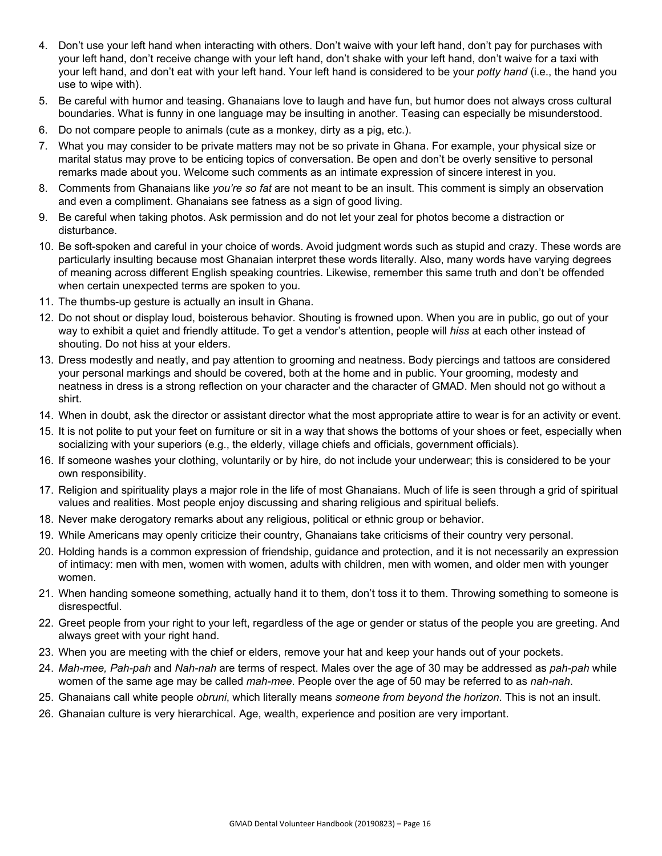- 4. Don't use your left hand when interacting with others. Don't waive with your left hand, don't pay for purchases with your left hand, don't receive change with your left hand, don't shake with your left hand, don't waive for a taxi with your left hand, and don't eat with your left hand. Your left hand is considered to be your *potty hand* (i.e., the hand you use to wipe with).
- 5. Be careful with humor and teasing. Ghanaians love to laugh and have fun, but humor does not always cross cultural boundaries. What is funny in one language may be insulting in another. Teasing can especially be misunderstood.
- 6. Do not compare people to animals (cute as a monkey, dirty as a pig, etc.).
- 7. What you may consider to be private matters may not be so private in Ghana. For example, your physical size or marital status may prove to be enticing topics of conversation. Be open and don't be overly sensitive to personal remarks made about you. Welcome such comments as an intimate expression of sincere interest in you.
- 8. Comments from Ghanaians like *you're so fat* are not meant to be an insult. This comment is simply an observation and even a compliment. Ghanaians see fatness as a sign of good living.
- 9. Be careful when taking photos. Ask permission and do not let your zeal for photos become a distraction or disturbance.
- 10. Be soft-spoken and careful in your choice of words. Avoid judgment words such as stupid and crazy. These words are particularly insulting because most Ghanaian interpret these words literally. Also, many words have varying degrees of meaning across different English speaking countries. Likewise, remember this same truth and don't be offended when certain unexpected terms are spoken to you.
- 11. The thumbs-up gesture is actually an insult in Ghana.
- 12. Do not shout or display loud, boisterous behavior. Shouting is frowned upon. When you are in public, go out of your way to exhibit a quiet and friendly attitude. To get a vendor's attention, people will *hiss* at each other instead of shouting. Do not hiss at your elders.
- 13. Dress modestly and neatly, and pay attention to grooming and neatness. Body piercings and tattoos are considered your personal markings and should be covered, both at the home and in public. Your grooming, modesty and neatness in dress is a strong reflection on your character and the character of GMAD. Men should not go without a shirt.
- 14. When in doubt, ask the director or assistant director what the most appropriate attire to wear is for an activity or event.
- 15. It is not polite to put your feet on furniture or sit in a way that shows the bottoms of your shoes or feet, especially when socializing with your superiors (e.g., the elderly, village chiefs and officials, government officials).
- 16. If someone washes your clothing, voluntarily or by hire, do not include your underwear; this is considered to be your own responsibility.
- 17. Religion and spirituality plays a major role in the life of most Ghanaians. Much of life is seen through a grid of spiritual values and realities. Most people enjoy discussing and sharing religious and spiritual beliefs.
- 18. Never make derogatory remarks about any religious, political or ethnic group or behavior.
- 19. While Americans may openly criticize their country, Ghanaians take criticisms of their country very personal.
- 20. Holding hands is a common expression of friendship, guidance and protection, and it is not necessarily an expression of intimacy: men with men, women with women, adults with children, men with women, and older men with younger women.
- 21. When handing someone something, actually hand it to them, don't toss it to them. Throwing something to someone is disrespectful.
- 22. Greet people from your right to your left, regardless of the age or gender or status of the people you are greeting. And always greet with your right hand.
- 23. When you are meeting with the chief or elders, remove your hat and keep your hands out of your pockets.
- 24. *Mah-mee, Pah-pah* and *Nah-nah* are terms of respect. Males over the age of 30 may be addressed as *pah-pah* while women of the same age may be called *mah-mee*. People over the age of 50 may be referred to as *nah-nah*.
- 25. Ghanaians call white people *obruni*, which literally means *someone from beyond the horizon*. This is not an insult.
- 26. Ghanaian culture is very hierarchical. Age, wealth, experience and position are very important.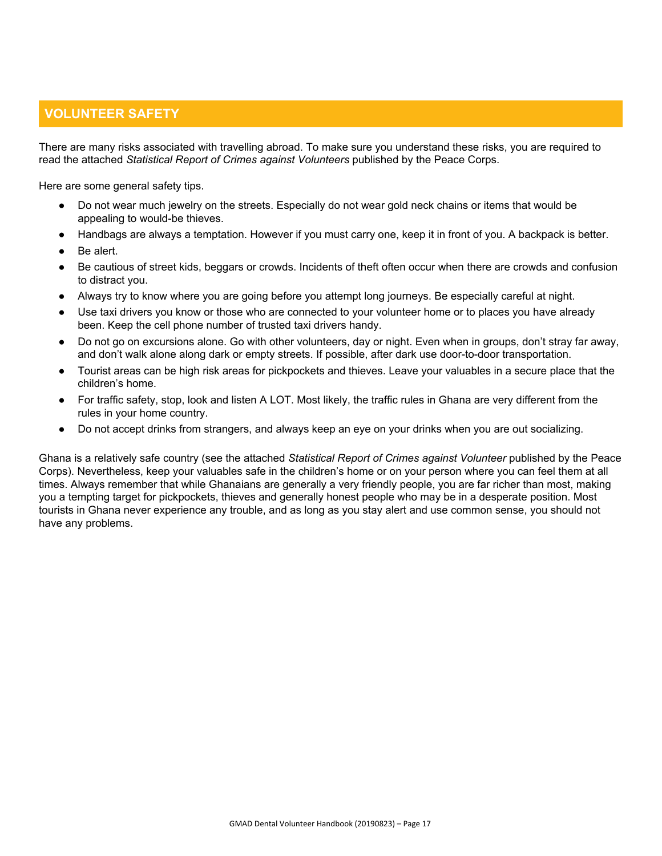# **VOLUNTEER SAFETY**

There are many risks associated with travelling abroad. To make sure you understand these risks, you are required to read the attached *Statistical Report of Crimes against Volunteers* published by the Peace Corps.

Here are some general safety tips.

- Do not wear much jewelry on the streets. Especially do not wear gold neck chains or items that would be appealing to would-be thieves.
- Handbags are always a temptation. However if you must carry one, keep it in front of you. A backpack is better.
- Be alert.
- Be cautious of street kids, beggars or crowds. Incidents of theft often occur when there are crowds and confusion to distract you.
- Always try to know where you are going before you attempt long journeys. Be especially careful at night.
- Use taxi drivers you know or those who are connected to your volunteer home or to places you have already been. Keep the cell phone number of trusted taxi drivers handy.
- Do not go on excursions alone. Go with other volunteers, day or night. Even when in groups, don't stray far away, and don't walk alone along dark or empty streets. If possible, after dark use door-to-door transportation.
- Tourist areas can be high risk areas for pickpockets and thieves. Leave your valuables in a secure place that the children's home.
- For traffic safety, stop, look and listen A LOT. Most likely, the traffic rules in Ghana are very different from the rules in your home country.
- Do not accept drinks from strangers, and always keep an eye on your drinks when you are out socializing.

Ghana is a relatively safe country (see the attached *Statistical Report of Crimes against Volunteer* published by the Peace Corps). Nevertheless, keep your valuables safe in the children's home or on your person where you can feel them at all times. Always remember that while Ghanaians are generally a very friendly people, you are far richer than most, making you a tempting target for pickpockets, thieves and generally honest people who may be in a desperate position. Most tourists in Ghana never experience any trouble, and as long as you stay alert and use common sense, you should not have any problems.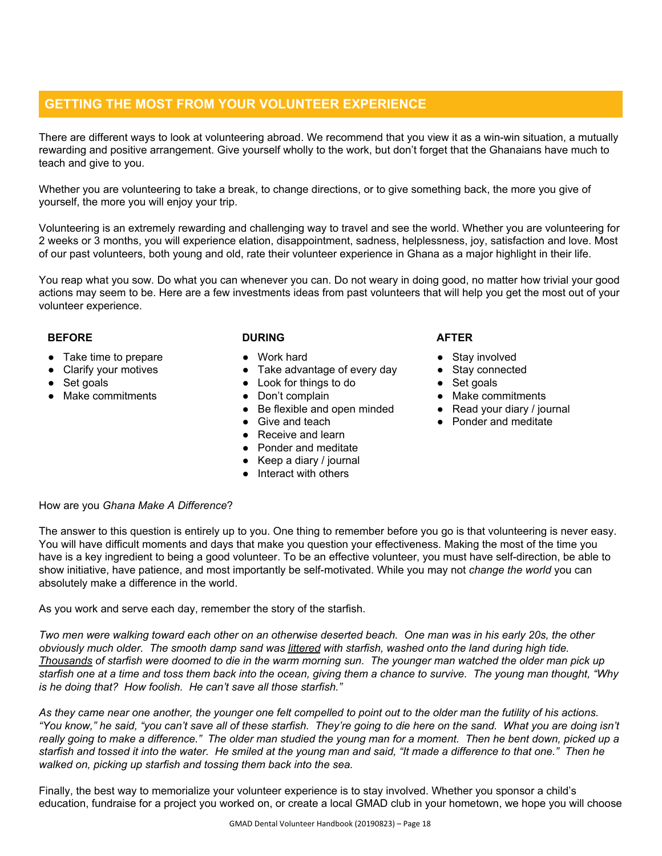# **GETTING THE MOST FROM YOUR VOLUNTEER EXPERIENCE**

There are different ways to look at volunteering abroad. We recommend that you view it as a win-win situation, a mutually rewarding and positive arrangement. Give yourself wholly to the work, but don't forget that the Ghanaians have much to teach and give to you.

Whether you are volunteering to take a break, to change directions, or to give something back, the more you give of yourself, the more you will enjoy your trip.

Volunteering is an extremely rewarding and challenging way to travel and see the world. Whether you are volunteering for 2 weeks or 3 months, you will experience elation, disappointment, sadness, helplessness, joy, satisfaction and love. Most of our past volunteers, both young and old, rate their volunteer experience in Ghana as a major highlight in their life.

You reap what you sow. Do what you can whenever you can. Do not weary in doing good, no matter how trivial your good actions may seem to be. Here are a few investments ideas from past volunteers that will help you get the most out of your volunteer experience.

### **BEFORE**

- Take time to prepare
- Clarify your motives
- Set goals
- Make commitments

### **DURING**

- Work hard
- Take advantage of every day
- Look for things to do
- Don't complain
- Be flexible and open minded
- Give and teach
- Receive and learn
- Ponder and meditate
- $\bullet$  Keep a diary / journal
- Interact with others

### **AFTER**

- Stay involved
- Stay connected
- Set goals
- Make commitments
- Read your diary / journal
- Ponder and meditate

### How are you *Ghana Make A Difference*?

The answer to this question is entirely up to you. One thing to remember before you go is that volunteering is never easy. You will have difficult moments and days that make you question your effectiveness. Making the most of the time you have is a key ingredient to being a good volunteer. To be an effective volunteer, you must have self-direction, be able to show initiative, have patience, and most importantly be self-motivated. While you may not *change the world* you can absolutely make a difference in the world.

As you work and serve each day, remember the story of the starfish.

Two men were walking toward each other on an otherwise deserted beach. One man was in his early 20s, the other obviously much older. The smooth damp sand was littered with starfish, washed onto the land during high tide. Thousands of starfish were doomed to die in the warm morning sun. The younger man watched the older man pick up starfish one at a time and toss them back into the ocean, giving them a chance to survive. The young man thought, "Why *is he doing that? How foolish. He can't save all those starfish."*

As they came near one another, the younger one felt compelled to point out to the older man the futility of his actions. "You know," he said, "you can't save all of these starfish. They're going to die here on the sand. What you are doing isn't really going to make a difference." The older man studied the young man for a moment. Then he bent down, picked up a starfish and tossed it into the water. He smiled at the young man and said, "It made a difference to that one." Then he *walked on, picking up starfish and tossing them back into the sea.*

Finally, the best way to memorialize your volunteer experience is to stay involved. Whether you sponsor a child's education, fundraise for a project you worked on, or create a local GMAD club in your hometown, we hope you will choose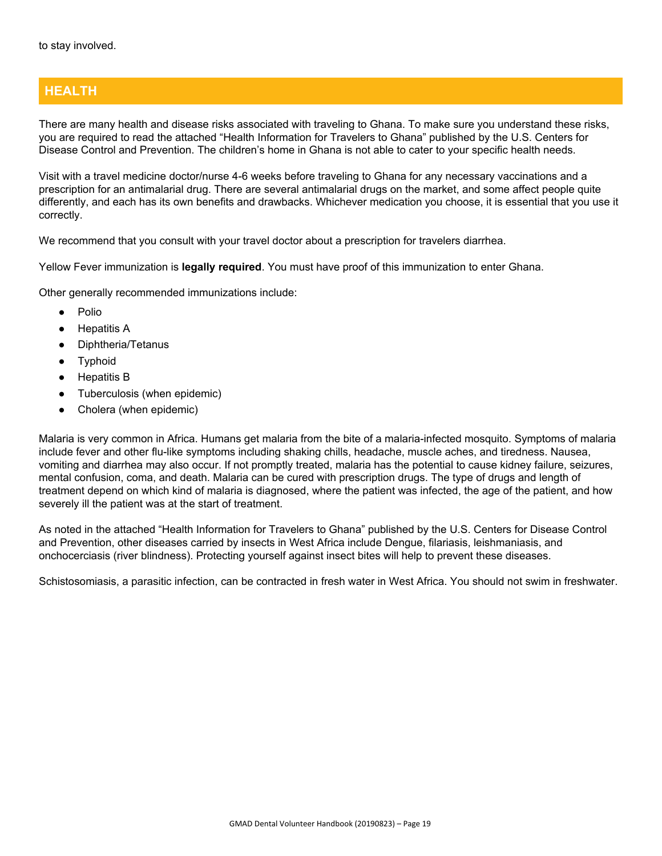# **HEALTH**

There are many health and disease risks associated with traveling to Ghana. To make sure you understand these risks, you are required to read the attached "Health Information for Travelers to Ghana" published by the U.S. Centers for Disease Control and Prevention. The children's home in Ghana is not able to cater to your specific health needs.

Visit with a travel medicine doctor/nurse 4-6 weeks before traveling to Ghana for any necessary vaccinations and a prescription for an antimalarial drug. There are several antimalarial drugs on the market, and some affect people quite differently, and each has its own benefits and drawbacks. Whichever medication you choose, it is essential that you use it correctly.

We recommend that you consult with your travel doctor about a prescription for travelers diarrhea.

Yellow Fever immunization is **legally required**. You must have proof of this immunization to enter Ghana.

Other generally recommended immunizations include:

- Polio
- **Hepatitis A**
- Diphtheria/Tetanus
- Typhoid
- **Hepatitis B**
- Tuberculosis (when epidemic)
- Cholera (when epidemic)

Malaria is very common in Africa. Humans get malaria from the bite of a malaria-infected mosquito. Symptoms of malaria include fever and other flu-like symptoms including shaking chills, headache, muscle aches, and tiredness. Nausea, vomiting and diarrhea may also occur. If not promptly treated, malaria has the potential to cause kidney failure, seizures, mental confusion, coma, and death. Malaria can be cured with prescription drugs. The type of drugs and length of treatment depend on which kind of malaria is diagnosed, where the patient was infected, the age of the patient, and how severely ill the patient was at the start of treatment.

As noted in the attached "Health Information for Travelers to Ghana" published by the U.S. Centers for Disease Control and Prevention, other diseases carried by insects in West Africa include Dengue, filariasis, leishmaniasis, and onchocerciasis (river blindness). Protecting yourself against insect bites will help to prevent these diseases.

Schistosomiasis, a parasitic infection, can be contracted in fresh water in West Africa. You should not swim in freshwater.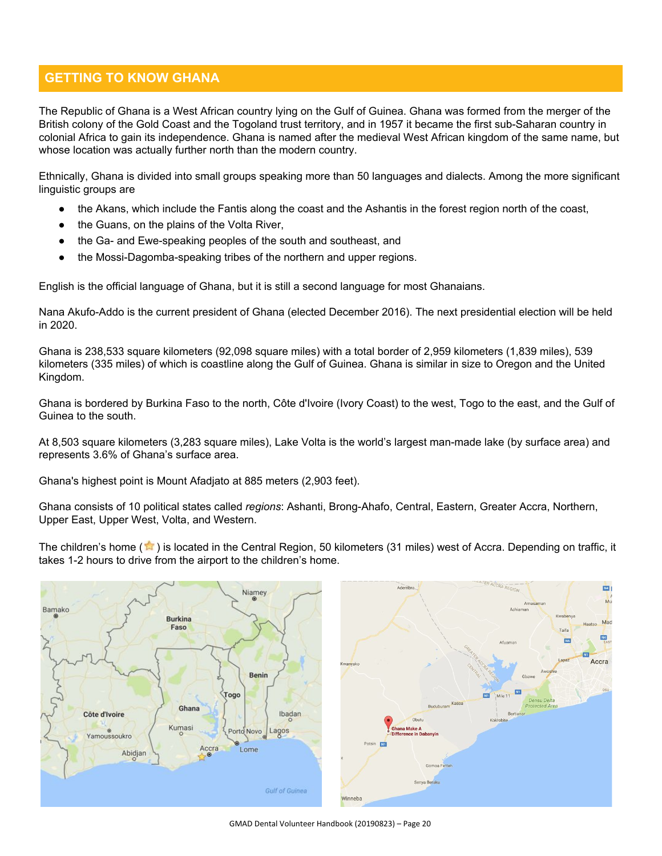# **GETTING TO KNOW GHANA**

The Republic of Ghana is a West African country lying on the Gulf of Guinea. Ghana was formed from the merger of the British colony of the Gold Coast and the Togoland trust territory, and in 1957 it became the first sub-Saharan country in colonial Africa to gain its independence. Ghana is named after the medieval West African kingdom of the same name, but whose location was actually further north than the modern country.

Ethnically, Ghana is divided into small groups speaking more than 50 languages and dialects. Among the more significant linguistic groups are

- the Akans, which include the Fantis along the coast and the Ashantis in the forest region north of the coast,
- the Guans, on the plains of the Volta River,
- the Ga- and Ewe-speaking peoples of the south and southeast, and
- the Mossi-Dagomba-speaking tribes of the northern and upper regions.

English is the official language of Ghana, but it is still a second language for most Ghanaians.

Nana Akufo-Addo is the current president of Ghana (elected December 2016). The next presidential election will be held in 2020.

Ghana is 238,533 square kilometers (92,098 square miles) with a total border of 2,959 kilometers (1,839 miles), 539 kilometers (335 miles) of which is coastline along the Gulf of Guinea. Ghana is similar in size to Oregon and the United Kingdom.

Ghana is bordered by Burkina Faso to the north, Côte d'Ivoire (Ivory Coast) to the west, Togo to the east, and the Gulf of Guinea to the south.

At 8,503 square kilometers (3,283 square miles), Lake Volta is the world's largest man-made lake (by surface area) and represents 3.6% of Ghana's surface area.

Ghana's highest point is Mount Afadjato at 885 meters (2,903 feet).

Ghana consists of 10 political states called *regions*: Ashanti, Brong-Ahafo, Central, Eastern, Greater Accra, Northern, Upper East, Upper West, Volta, and Western.

The children's home  $(\mathbf{m})$  is located in the Central Region, 50 kilometers (31 miles) west of Accra. Depending on traffic, it takes 1-2 hours to drive from the airport to the children's home.

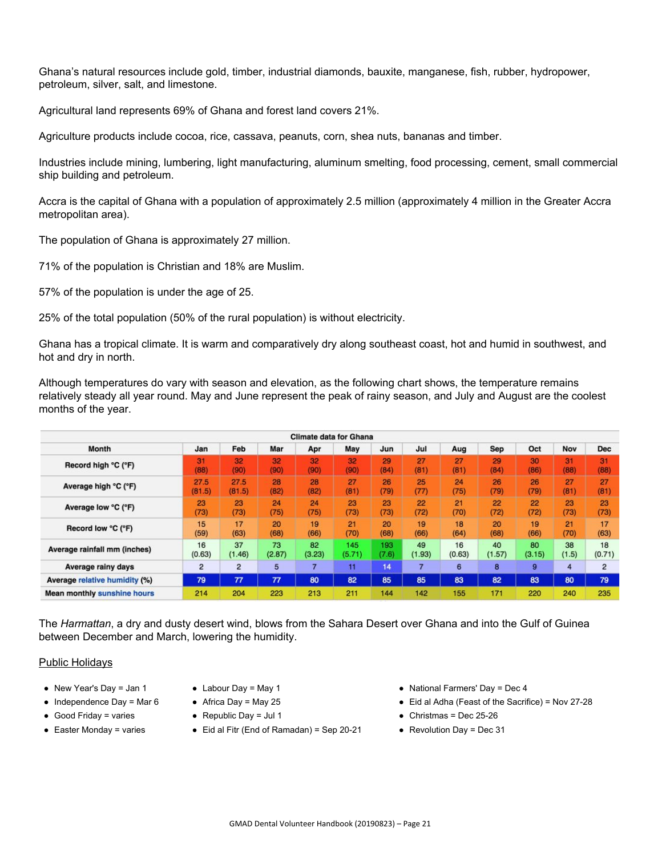Ghana's natural resources include gold, timber, industrial diamonds, bauxite, manganese, fish, rubber, hydropower, petroleum, silver, salt, and limestone.

Agricultural land represents 69% of Ghana and forest land covers 21%.

Agriculture products include cocoa, rice, cassava, peanuts, corn, shea nuts, bananas and timber.

Industries include mining, lumbering, light manufacturing, aluminum smelting, food processing, cement, small commercial ship building and petroleum.

Accra is the capital of Ghana with a population of approximately 2.5 million (approximately 4 million in the Greater Accra metropolitan area).

The population of Ghana is approximately 27 million.

71% of the population is Christian and 18% are Muslim.

57% of the population is under the age of 25.

25% of the total population (50% of the rural population) is without electricity.

Ghana has a tropical climate. It is warm and comparatively dry along southeast coast, hot and humid in southwest, and hot and dry in north.

Although temperatures do vary with season and elevation, as the following chart shows, the temperature remains relatively steady all year round. May and June represent the peak of rainy season, and July and August are the coolest months of the year.

|                                      |        |                |        | <b>Climate data for Ghana</b> |        |       |        |        |            |        |       |            |
|--------------------------------------|--------|----------------|--------|-------------------------------|--------|-------|--------|--------|------------|--------|-------|------------|
| <b>Month</b>                         | Jan    | Feb            | Mar    | Apr                           | May    | Jun   | Jul    | Aug    | <b>Sep</b> | Oct    | Nov   | <b>Dec</b> |
| Record high °C (°F)                  | 31     | 32             | 32     | 32                            | 32     | 29    | 27     | 27     | 29         | 30     | 31    | 31         |
|                                      | (88)   | (90)           | (90)   | (90)                          | (90)   | (84)  | (81)   | (81)   | (84)       | (86)   | (88)  | (88)       |
| Average high °C (°F)                 | 27.5   | 27.5           | 28     | 28                            | 27     | 26    | 25     | 24     | 26         | 26     | 27    | 27         |
|                                      | (81.5) | (81.5)         | (82)   | (82)                          | (81)   | (79)  | (77)   | (75)   | (79)       | (79)   | (81)  | (81)       |
| Average low °C (°F)                  | 23     | 23             | 24     | 24                            | 23     | 23    | 22     | 21     | 22         | 22     | 23    | 23         |
|                                      | (73)   | (73)           | (75)   | (75)                          | (73)   | (73)  | (72)   | (70)   | (72)       | (72)   | (73)  | (73)       |
| Record low °C (°F)                   | 15     | 17             | 20     | 19                            | 21     | 20    | 19     | 18     | 20         | 19     | 21    | 17         |
|                                      | (59)   | (63)           | (68)   | (66)                          | (70)   | (68)  | (66)   | (64)   | (68)       | (66)   | (70)  | (63)       |
| Average rainfall mm (inches)         | 16     | 37             | 73     | 82                            | 145    | 193   | 49     | 16     | 40         | 80     | 38    | 18         |
|                                      | (0.63) | (1.46)         | (2.87) | (3.23)                        | (5.71) | (7.6) | (1.93) | (0.63) | (1.57)     | (3.15) | (1.5) | (0.71)     |
| Average rainy days                   | 2      | $\overline{2}$ | 5      | 7                             | 11     | 14    |        | 6      | 8          | 9      | 4     | 2          |
| <b>Average relative humidity (%)</b> | 79     | 77             | 77     | 80                            | 82     | 85    | 85     | 83     | 82         | 83     | 80    | 79         |
| <b>Mean monthly sunshine hours</b>   | 214    | 204            | 223    | 213                           | 211    | 144   | 142    | 155    | 171        | 220    | 240   | 235        |

The *Harmattan*, a dry and dusty desert wind, blows from the Sahara Desert over Ghana and into the Gulf of Guinea between December and March, lowering the humidity.

#### Public Holidays

- New Year's Day = Jan 1
- $\bullet$  Independence Day = Mar 6
- Good Friday = varies
- Easter Monday = varies
- $\bullet$  Labour Day = May 1
- $\bullet$  Africa Day = May 25
- $\bullet$  Republic Day = Jul 1
- Eid al Fitr (End of Ramadan) = Sep 20-21
- National Farmers' Day = Dec 4
- Eid al Adha (Feast of the Sacrifice) = Nov 27-28
- $\bullet$  Christmas = Dec 25-26
- $\bullet$  Revolution Day = Dec 31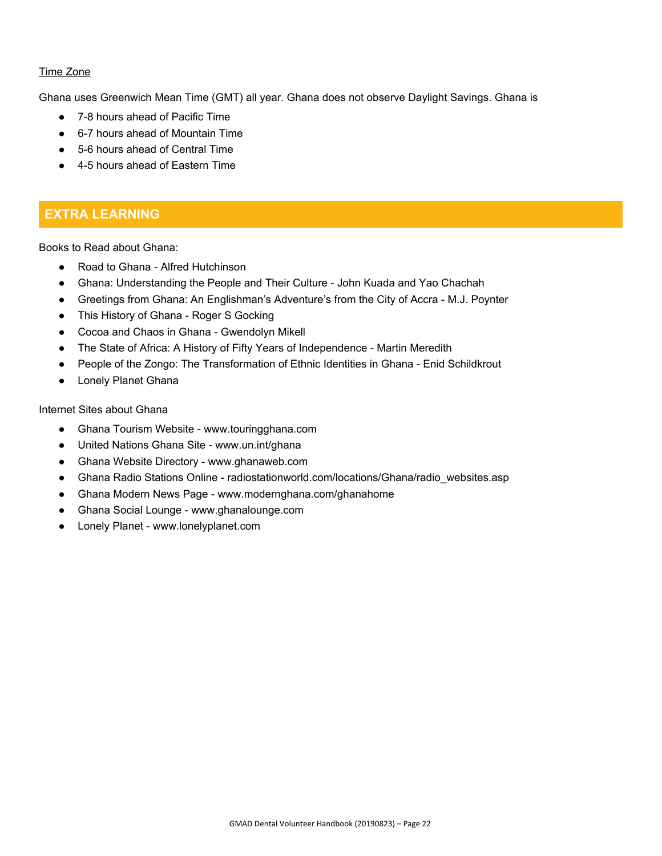## Time Zone

Ghana uses Greenwich Mean Time (GMT) all year. Ghana does not observe Daylight Savings. Ghana is

- 7-8 hours ahead of Pacific Time
- 6-7 hours ahead of Mountain Time
- 5-6 hours ahead of Central Time
- 4-5 hours ahead of Eastern Time

# **EXTRA LEARNING**

Books to Read about Ghana:

- Road to Ghana Alfred Hutchinson
- Ghana: Understanding the People and Their Culture John Kuada and Yao Chachah
- Greetings from Ghana: An Englishman's Adventure's from the City of Accra M.J. Poynter
- This History of Ghana Roger S Gocking
- Cocoa and Chaos in Ghana Gwendolyn Mikell
- The State of Africa: A History of Fifty Years of Independence Martin Meredith
- People of the Zongo: The Transformation of Ethnic Identities in Ghana Enid Schildkrout
- Lonely Planet Ghana

Internet Sites about Ghana

- Ghana Tourism Website www.touringghana.com
- United Nations Ghana Site www.un.int/ghana
- Ghana Website Directory www.ghanaweb.com
- Ghana Radio Stations Online radiostationworld.com/locations/Ghana/radio\_websites.asp
- Ghana Modern News Page www.modernghana.com/ghanahome
- Ghana Social Lounge www.ghanalounge.com
- Lonely Planet www.lonelyplanet.com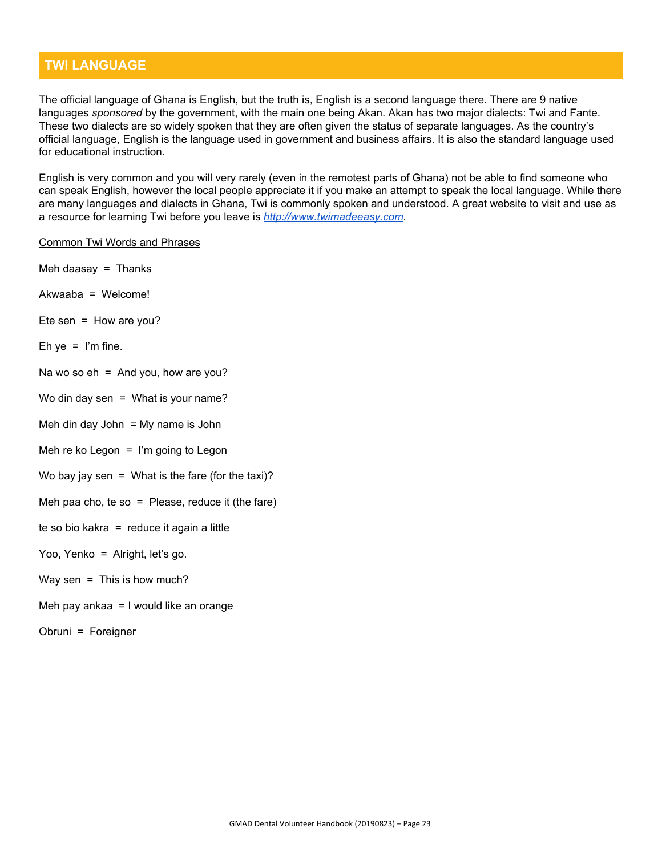# **TWI LANGUAGE**

The official language of Ghana is English, but the truth is, English is a second language there. There are 9 native languages *sponsored* by the government, with the main one being Akan. Akan has two major dialects: Twi and Fante. These two dialects are so widely spoken that they are often given the status of separate languages. As the country's official language, English is the language used in government and business affairs. It is also the standard language used for educational instruction.

English is very common and you will very rarely (even in the remotest parts of Ghana) not be able to find someone who can speak English, however the local people appreciate it if you make an attempt to speak the local language. While there are many languages and dialects in Ghana, Twi is commonly spoken and understood. A great website to visit and use as a resource for learning Twi before you leave is *[http://www.twimadeeasy.com.](http://www.twimadeeasy.com/)*

#### Common Twi Words and Phrases

- Meh daasay  $=$  Thanks
- Akwaaba = Welcome!
- Ete sen = How are you?
- Eh ye =  $\lim$  fine.
- Na wo so  $eh = And you$ , how are you?
- Wo din day sen  $=$  What is your name?
- Meh din day John  $=$  My name is John
- Meh re ko Legon  $=$  I'm going to Legon
- Wo bay jay sen = What is the fare (for the taxi)?
- Meh paa cho, te so = Please, reduce it (the fare)
- te so bio kakra = reduce it again a little

#### Yoo, Yenko = Alright, let's go.

#### Way sen  $=$  This is how much?

- Meh pay ankaa = I would like an orange
- Obruni = Foreigner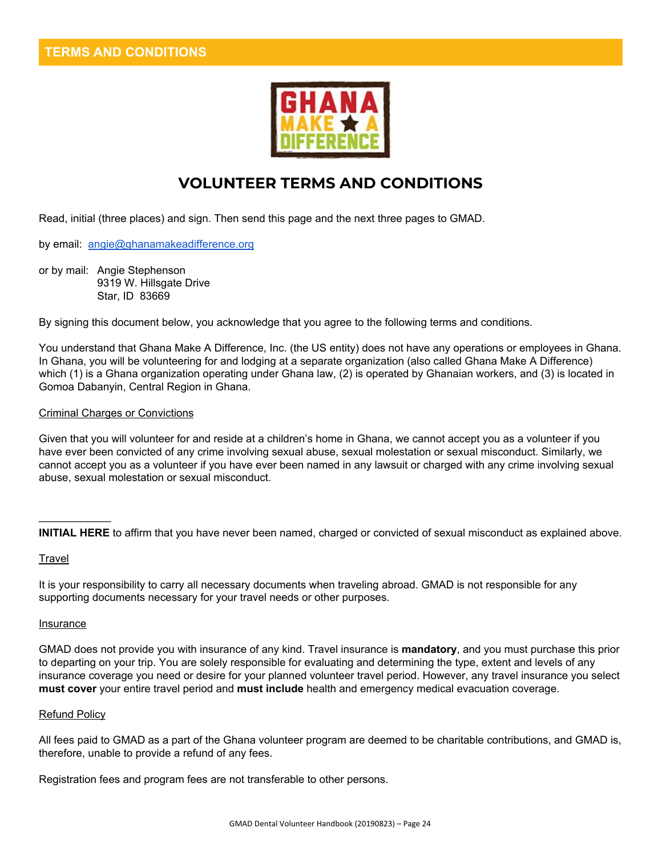

# **VOLUNTEER TERMS AND CONDITIONS**

Read, initial (three places) and sign. Then send this page and the next three pages to GMAD.

by email: [angie@ghanamakeadifference.org](mailto:angie@ghanamakeadifference.org)

or by mail: Angie Stephenson 9319 W. Hillsgate Drive Star, ID 83669

By signing this document below, you acknowledge that you agree to the following terms and conditions.

You understand that Ghana Make A Difference, Inc. (the US entity) does not have any operations or employees in Ghana. In Ghana, you will be volunteering for and lodging at a separate organization (also called Ghana Make A Difference) which (1) is a Ghana organization operating under Ghana law, (2) is operated by Ghanaian workers, and (3) is located in Gomoa Dabanyin, Central Region in Ghana.

#### Criminal Charges or Convictions

Given that you will volunteer for and reside at a children's home in Ghana, we cannot accept you as a volunteer if you have ever been convicted of any crime involving sexual abuse, sexual molestation or sexual misconduct. Similarly, we cannot accept you as a volunteer if you have ever been named in any lawsuit or charged with any crime involving sexual abuse, sexual molestation or sexual misconduct.

**INITIAL HERE** to affirm that you have never been named, charged or convicted of sexual misconduct as explained above.

#### **Travel**

 $\mathcal{L}=\mathcal{L}$ 

It is your responsibility to carry all necessary documents when traveling abroad. GMAD is not responsible for any supporting documents necessary for your travel needs or other purposes.

#### **Insurance**

GMAD does not provide you with insurance of any kind. Travel insurance is **mandatory**, and you must purchase this prior to departing on your trip. You are solely responsible for evaluating and determining the type, extent and levels of any insurance coverage you need or desire for your planned volunteer travel period. However, any travel insurance you select **must cover** your entire travel period and **must include** health and emergency medical evacuation coverage.

#### Refund Policy

All fees paid to GMAD as a part of the Ghana volunteer program are deemed to be charitable contributions, and GMAD is, therefore, unable to provide a refund of any fees.

Registration fees and program fees are not transferable to other persons.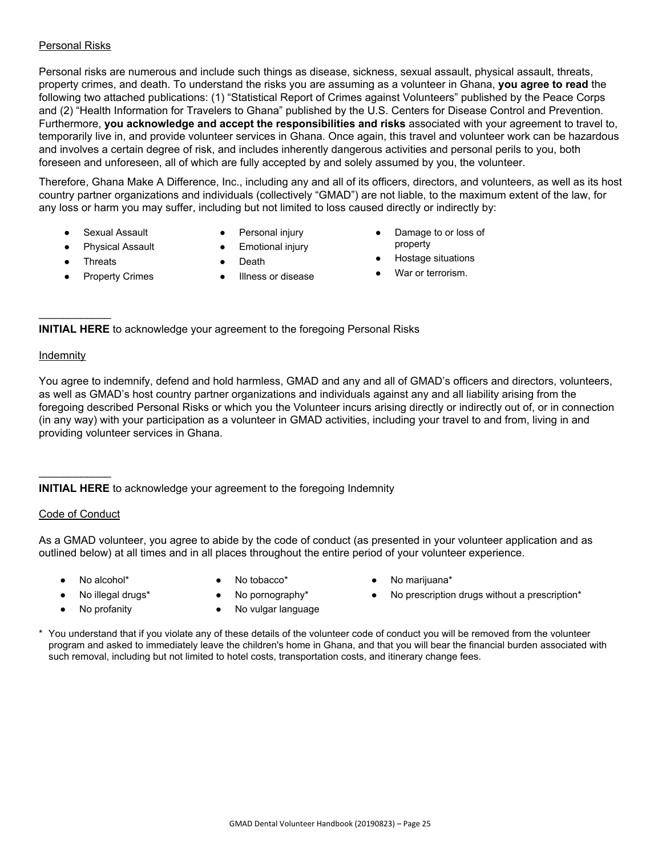### Personal Risks

Personal risks are numerous and include such things as disease, sickness, sexual assault, physical assault, threats, property crimes, and death. To understand the risks you are assuming as a volunteer in Ghana, **you agree to read** the following two attached publications: (1) "Statistical Report of Crimes against Volunteers" published by the Peace Corps and (2) "Health Information for Travelers to Ghana" published by the U.S. Centers for Disease Control and Prevention. Furthermore, **you acknowledge and accept the responsibilities and risks** associated with your agreement to travel to, temporarily live in, and provide volunteer services in Ghana. Once again, this travel and volunteer work can be hazardous and involves a certain degree of risk, and includes inherently dangerous activities and personal perils to you, both foreseen and unforeseen, all of which are fully accepted by and solely assumed by you, the volunteer.

Therefore, Ghana Make A Difference, Inc., including any and all of its officers, directors, and volunteers, as well as its host country partner organizations and individuals (collectively "GMAD") are not liable, to the maximum extent of the law, for any loss or harm you may suffer, including but not limited to loss caused directly or indirectly by:

- **Sexual Assault**
- Physical Assault
- Personal injury ● Emotional injury

● Illness or disease

● Death

Damage to or loss of property

● Hostage situations

- 
- War or terrorism.
- **Threats Property Crimes**
- $\mathcal{L}=\mathcal{L}$

**INITIAL HERE** to acknowledge your agreement to the foregoing Personal Risks

#### Indemnity

You agree to indemnify, defend and hold harmless, GMAD and any and all of GMAD's officers and directors, volunteers, as well as GMAD's host country partner organizations and individuals against any and all liability arising from the foregoing described Personal Risks or which you the Volunteer incurs arising directly or indirectly out of, or in connection (in any way) with your participation as a volunteer in GMAD activities, including your travel to and from, living in and providing volunteer services in Ghana.

**INITIAL HERE** to acknowledge your agreement to the foregoing Indemnity

#### Code of Conduct

 $\mathcal{L}=\mathcal{L}$ 

As a GMAD volunteer, you agree to abide by the code of conduct (as presented in your volunteer application and as outlined below) at all times and in all places throughout the entire period of your volunteer experience.

- - No alcohol\* **•** No tobacco\* **•** No marijuana\*
		-
- 
- No profanity No vulgar language
- 
- No illegal drugs\* No pornography\* No prescription drugs without a prescription\*
- \* You understand that if you violate any of these details of the volunteer code of conduct you will be removed from the volunteer program and asked to immediately leave the children's home in Ghana, and that you will bear the financial burden associated with such removal, including but not limited to hotel costs, transportation costs, and itinerary change fees.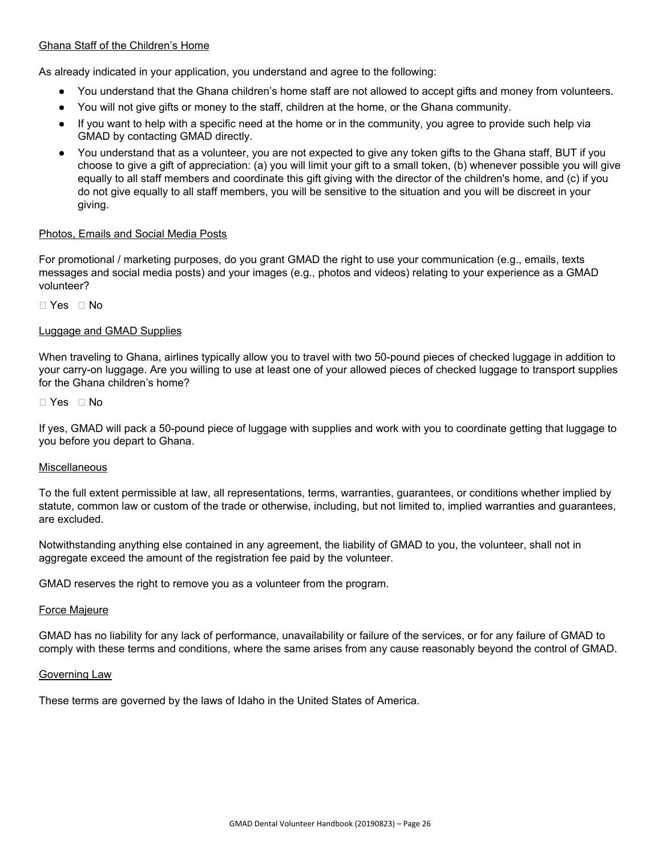#### Ghana Staff of the Children's Home

As already indicated in your application, you understand and agree to the following:

- You understand that the Ghana children's home staff are not allowed to accept gifts and money from volunteers.
- You will not give gifts or money to the staff, children at the home, or the Ghana community.
- If you want to help with a specific need at the home or in the community, you agree to provide such help via GMAD by contacting GMAD directly.
- You understand that as a volunteer, you are not expected to give any token gifts to the Ghana staff, BUT if you choose to give a gift of appreciation: (a) you will limit your gift to a small token, (b) whenever possible you will give equally to all staff members and coordinate this gift giving with the director of the children's home, and (c) if you do not give equally to all staff members, you will be sensitive to the situation and you will be discreet in your giving.

#### Photos, Emails and Social Media Posts

For promotional / marketing purposes, do you grant GMAD the right to use your communication (e.g., emails, texts messages and social media posts) and your images (e.g., photos and videos) relating to your experience as a GMAD volunteer?

□ Yes □ No

#### Luggage and GMAD Supplies

When traveling to Ghana, airlines typically allow you to travel with two 50-pound pieces of checked luggage in addition to your carry-on luggage. Are you willing to use at least one of your allowed pieces of checked luggage to transport supplies for the Ghana children's home?

 $\Box$  Yes  $\Box$  No

If yes, GMAD will pack a 50-pound piece of luggage with supplies and work with you to coordinate getting that luggage to you before you depart to Ghana.

#### Miscellaneous

To the full extent permissible at law, all representations, terms, warranties, guarantees, or conditions whether implied by statute, common law or custom of the trade or otherwise, including, but not limited to, implied warranties and guarantees, are excluded.

Notwithstanding anything else contained in any agreement, the liability of GMAD to you, the volunteer, shall not in aggregate exceed the amount of the registration fee paid by the volunteer.

GMAD reserves the right to remove you as a volunteer from the program.

#### Force Majeure

GMAD has no liability for any lack of performance, unavailability or failure of the services, or for any failure of GMAD to comply with these terms and conditions, where the same arises from any cause reasonably beyond the control of GMAD.

#### Governing Law

These terms are governed by the laws of Idaho in the United States of America.